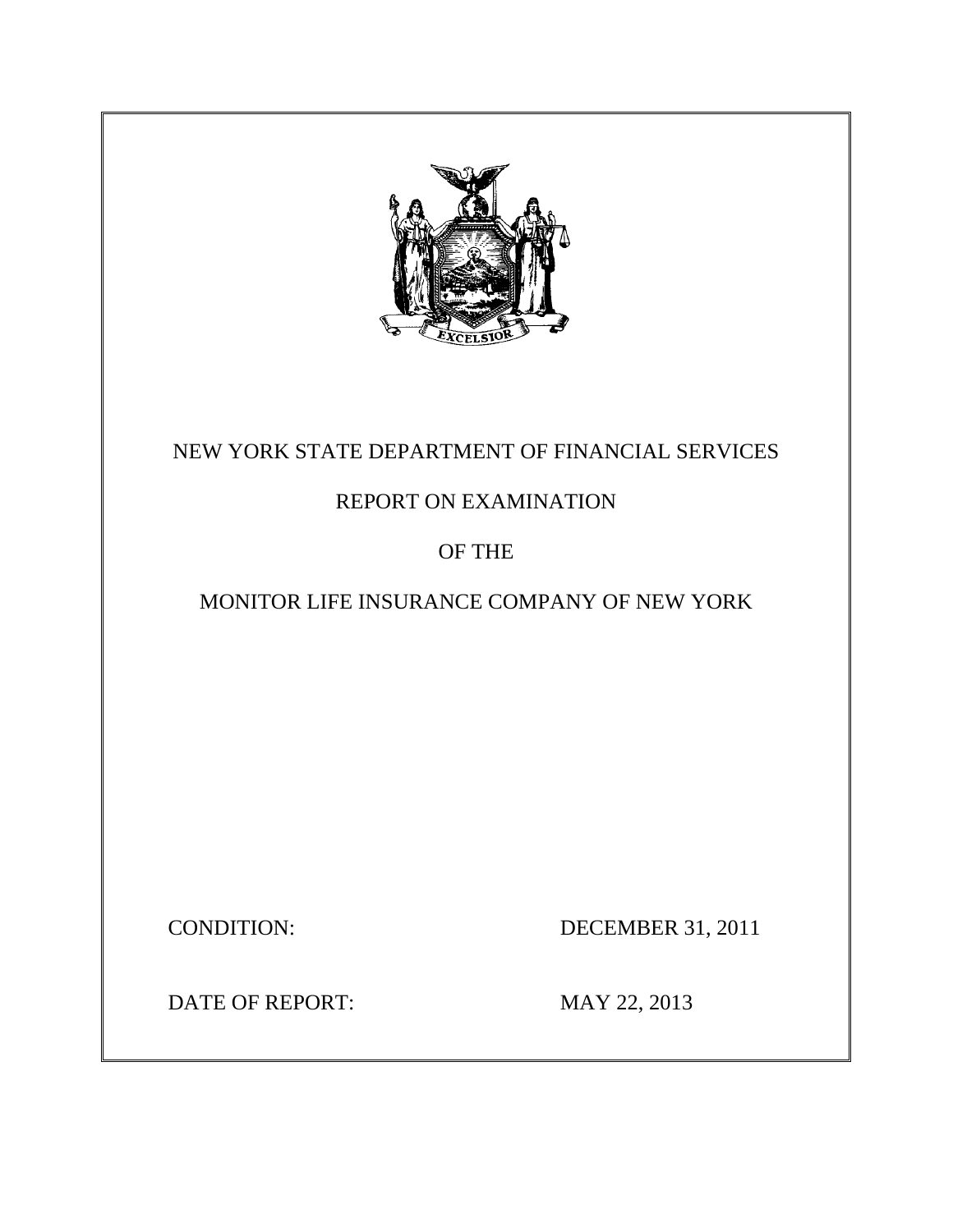

# NEW YORK STATE DEPARTMENT OF FINANCIAL SERVICES

## REPORT ON EXAMINATION

## OF THE

## MONITOR LIFE INSURANCE COMPANY OF NEW YORK

CONDITION: DECEMBER 31, 2011

DATE OF REPORT: MAY 22, 2013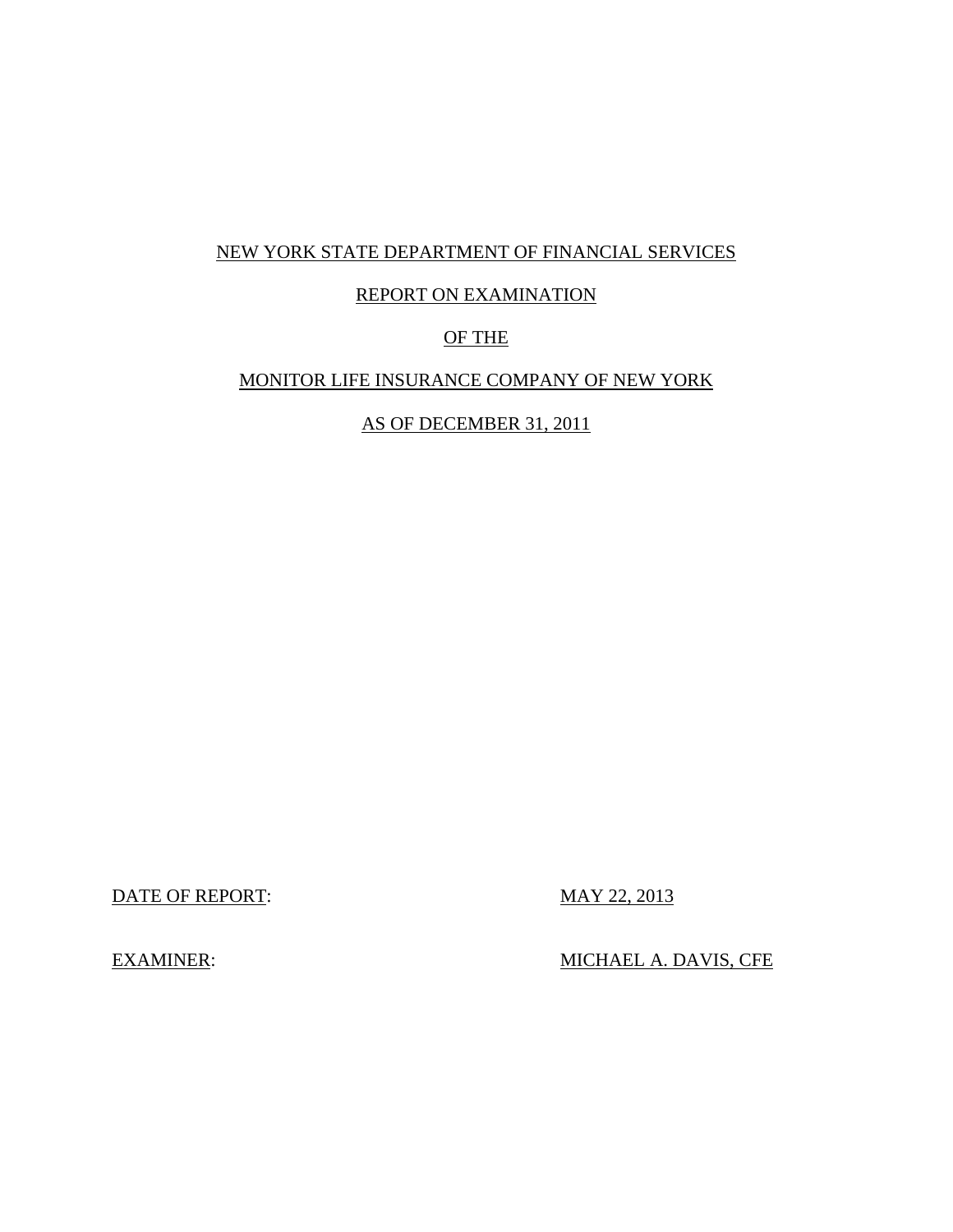### NEW YORK STATE DEPARTMENT OF FINANCIAL SERVICES

### REPORT ON EXAMINATION

### OF THE

### MONITOR LIFE INSURANCE COMPANY OF NEW YORK

AS OF DECEMBER 31, 2011

DATE OF REPORT: MAY 22, 2013

EXAMINER: MICHAEL A. DAVIS, CFE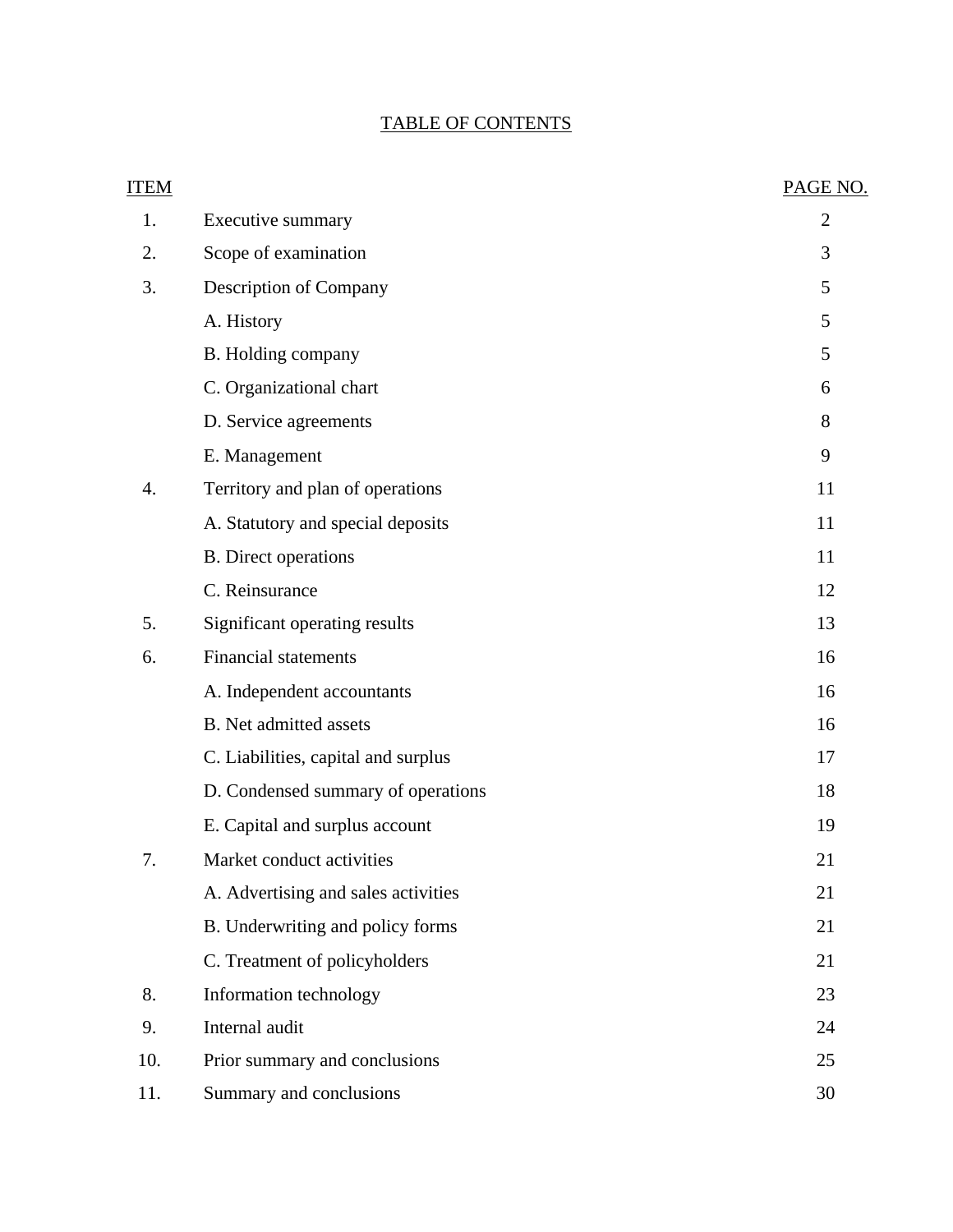## TABLE OF CONTENTS

| ITEM |                                     | PAGE NO.       |
|------|-------------------------------------|----------------|
| 1.   | Executive summary                   | $\overline{2}$ |
| 2.   | Scope of examination                | 3              |
| 3.   | Description of Company              | 5              |
|      | A. History                          | 5              |
|      | B. Holding company                  | 5              |
|      | C. Organizational chart             | 6              |
|      | D. Service agreements               | 8              |
|      | E. Management                       | 9              |
| 4.   | Territory and plan of operations    | 11             |
|      | A. Statutory and special deposits   | 11             |
|      | <b>B.</b> Direct operations         | 11             |
|      | C. Reinsurance                      | 12             |
| 5.   | Significant operating results       | 13             |
| 6.   | <b>Financial statements</b>         | 16             |
|      | A. Independent accountants          | 16             |
|      | B. Net admitted assets              | 16             |
|      | C. Liabilities, capital and surplus | 17             |
|      | D. Condensed summary of operations  | 18             |
|      | E. Capital and surplus account      | 19             |
| 7.   | Market conduct activities           | 21             |
|      | A. Advertising and sales activities | 21             |
|      | B. Underwriting and policy forms    | 21             |
|      | C. Treatment of policyholders       | 21             |
| 8.   | Information technology              | 23             |
| 9.   | Internal audit                      | 24             |
| 10.  | Prior summary and conclusions       | 25             |
| 11.  | Summary and conclusions             | 30             |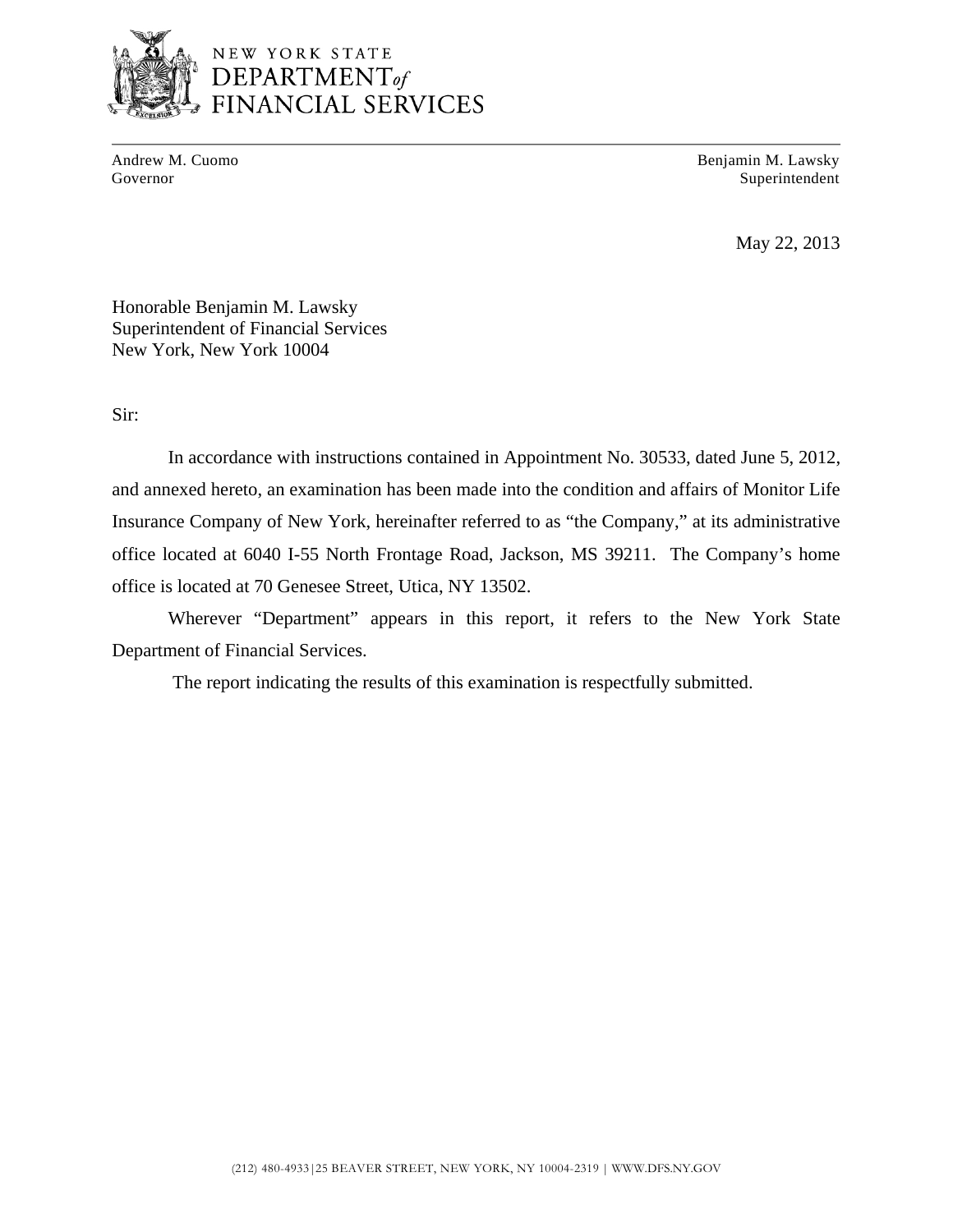

Andrew M. Cuomo **Benjamin M. Lawsky** Governor Superintendent Superintendent Superintendent Superintendent Superintendent Superintendent Superintendent Superintendent Superintendent Superintendent Superintendent Superintendent Superintendent Superintendent Sup

May 22, 2013

Honorable Benjamin M. Lawsky Superintendent of Financial Services New York, New York 10004

Sir:

In accordance with instructions contained in Appointment No. 30533, dated June 5, 2012, and annexed hereto, an examination has been made into the condition and affairs of Monitor Life Insurance Company of New York, hereinafter referred to as "the Company," at its administrative office located at 6040 I-55 North Frontage Road, Jackson, MS 39211. The Company's home office is located at 70 Genesee Street, Utica, NY 13502.

Wherever "Department" appears in this report, it refers to the New York State Department of Financial Services.

The report indicating the results of this examination is respectfully submitted.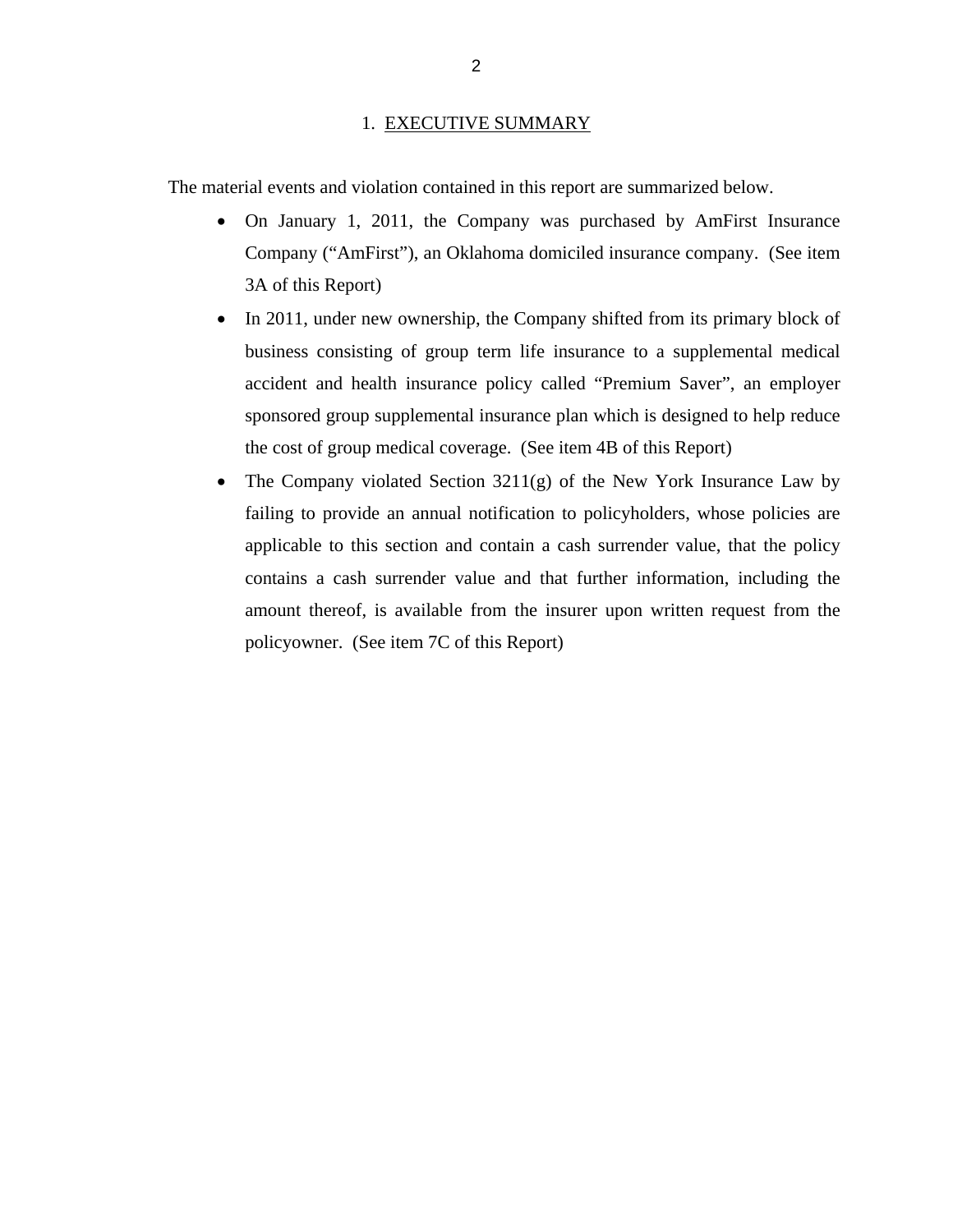### 1. EXECUTIVE SUMMARY

<span id="page-4-0"></span>The material events and violation contained in this report are summarized below.

- On January 1, 2011, the Company was purchased by AmFirst Insurance Company ("AmFirst"), an Oklahoma domiciled insurance company. (See item 3A of this Report)
- In 2011, under new ownership, the Company shifted from its primary block of business consisting of group term life insurance to a supplemental medical accident and health insurance policy called "Premium Saver", an employer sponsored group supplemental insurance plan which is designed to help reduce the cost of group medical coverage. (See item 4B of this Report)
- The Company violated Section  $3211(g)$  of the New York Insurance Law by failing to provide an annual notification to policyholders, whose policies are applicable to this section and contain a cash surrender value, that the policy contains a cash surrender value and that further information, including the amount thereof, is available from the insurer upon written request from the policyowner. (See item 7C of this Report)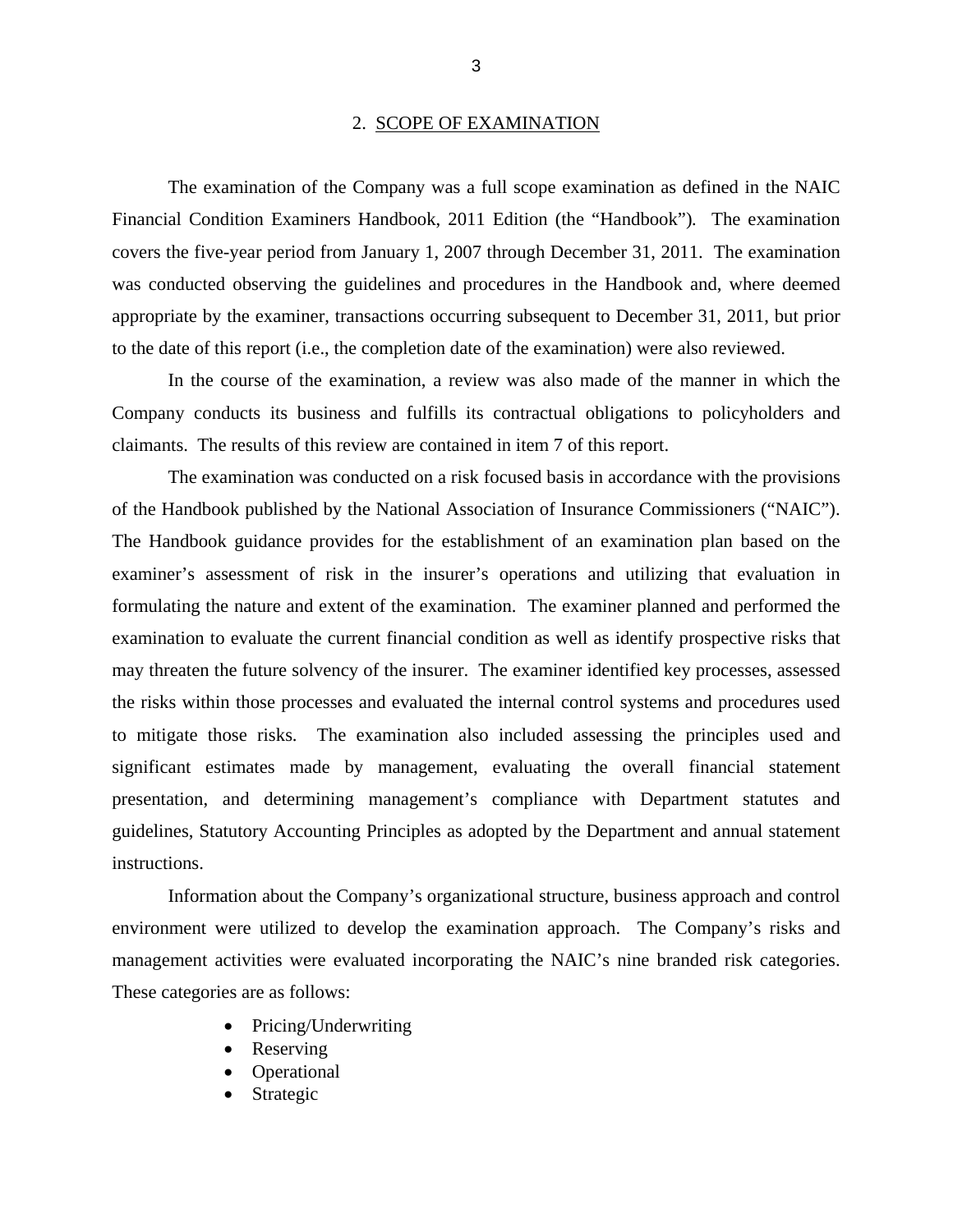### 2. SCOPE OF EXAMINATION

<span id="page-5-0"></span>The examination of the Company was a full scope examination as defined in the NAIC Financial Condition Examiners Handbook, 2011 Edition (the "Handbook")*.* The examination covers the five-year period from January 1, 2007 through December 31, 2011. The examination was conducted observing the guidelines and procedures in the Handbook and, where deemed appropriate by the examiner, transactions occurring subsequent to December 31, 2011, but prior to the date of this report (i.e., the completion date of the examination) were also reviewed.

In the course of the examination, a review was also made of the manner in which the Company conducts its business and fulfills its contractual obligations to policyholders and claimants. The results of this review are contained in item 7 of this report.

The examination was conducted on a risk focused basis in accordance with the provisions of the Handbook published by the National Association of Insurance Commissioners ("NAIC"). The Handbook guidance provides for the establishment of an examination plan based on the examiner's assessment of risk in the insurer's operations and utilizing that evaluation in formulating the nature and extent of the examination. The examiner planned and performed the examination to evaluate the current financial condition as well as identify prospective risks that may threaten the future solvency of the insurer. The examiner identified key processes, assessed the risks within those processes and evaluated the internal control systems and procedures used to mitigate those risks. The examination also included assessing the principles used and significant estimates made by management, evaluating the overall financial statement presentation, and determining management's compliance with Department statutes and guidelines, Statutory Accounting Principles as adopted by the Department and annual statement instructions.

Information about the Company's organizational structure, business approach and control environment were utilized to develop the examination approach. The Company's risks and management activities were evaluated incorporating the NAIC's nine branded risk categories. These categories are as follows:

- Pricing/Underwriting
- Reserving
- Operational
- Strategic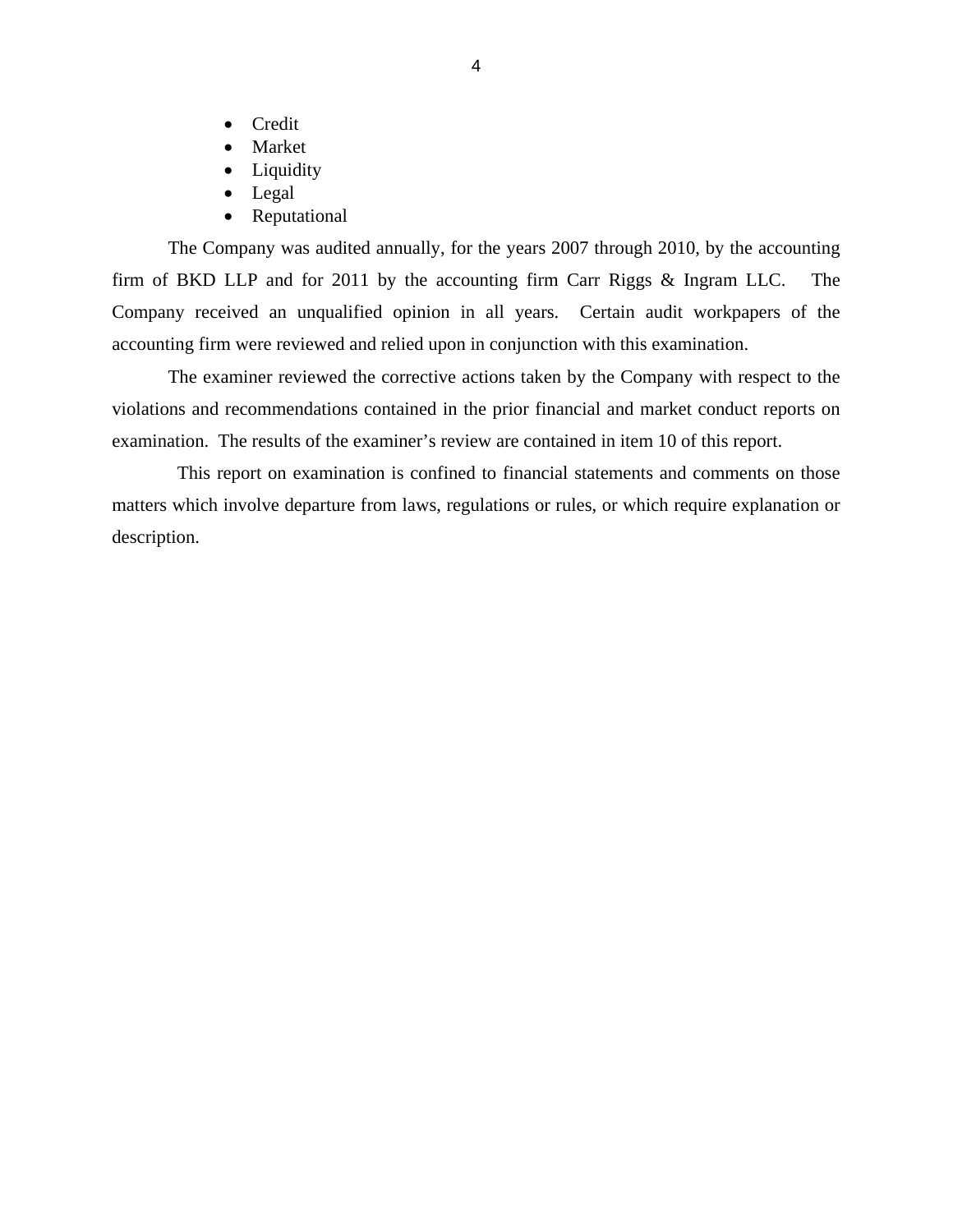- Credit
- **Market**
- Liquidity
- Legal
- Reputational

The Company was audited annually, for the years 2007 through 2010, by the accounting firm of BKD LLP and for 2011 by the accounting firm Carr Riggs & Ingram LLC. The Company received an unqualified opinion in all years. Certain audit workpapers of the accounting firm were reviewed and relied upon in conjunction with this examination.

The examiner reviewed the corrective actions taken by the Company with respect to the violations and recommendations contained in the prior financial and market conduct reports on examination. The results of the examiner's review are contained in item 10 of this report.

This report on examination is confined to financial statements and comments on those matters which involve departure from laws, regulations or rules, or which require explanation or description.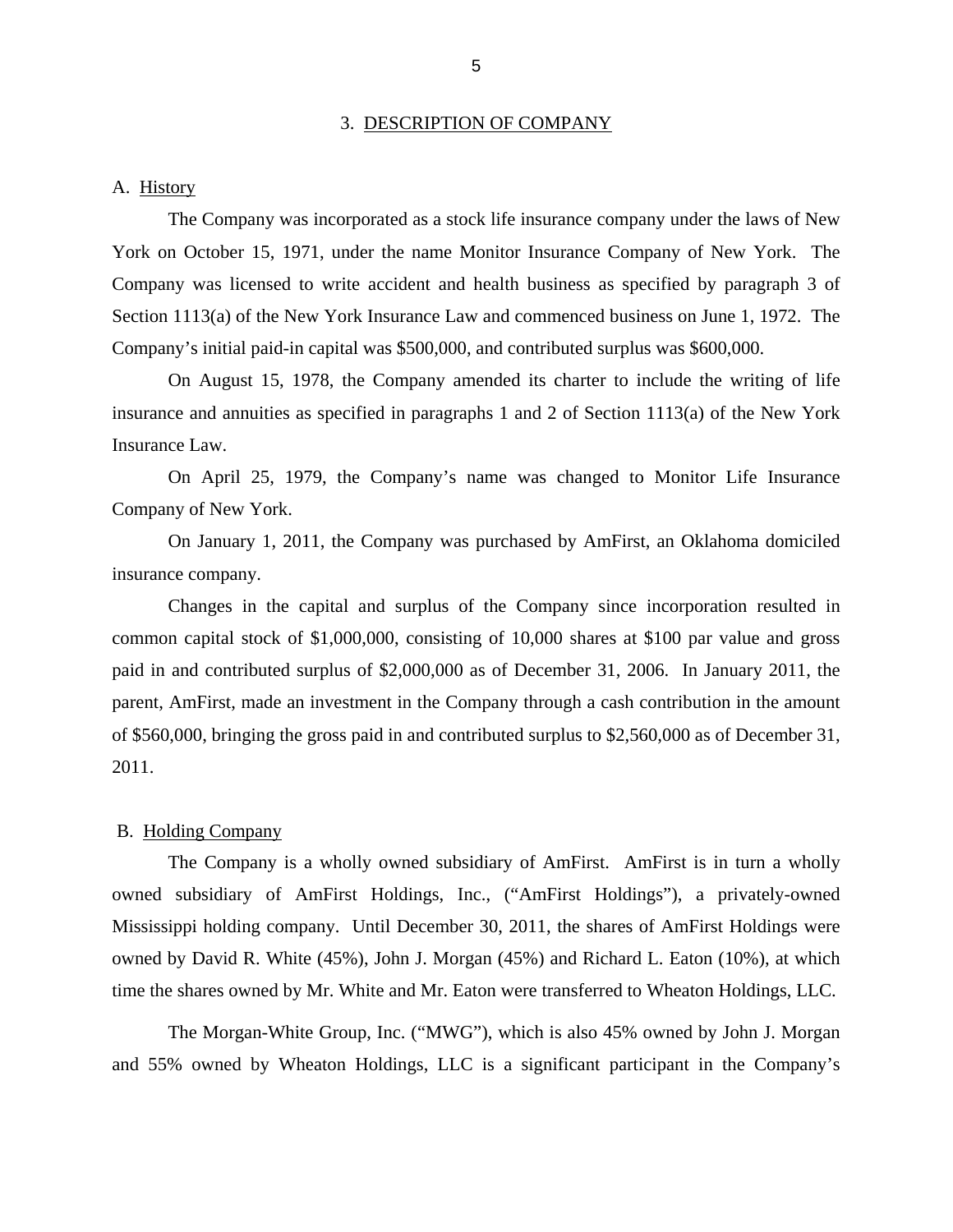#### 3. DESCRIPTION OF COMPANY

### <span id="page-7-0"></span>A. History

The Company was incorporated as a stock life insurance company under the laws of New York on October 15, 1971, under the name Monitor Insurance Company of New York. The Company was licensed to write accident and health business as specified by paragraph 3 of Section 1113(a) of the New York Insurance Law and commenced business on June 1, 1972. The Company's initial paid-in capital was \$500,000, and contributed surplus was \$600,000.

On August 15, 1978, the Company amended its charter to include the writing of life insurance and annuities as specified in paragraphs 1 and 2 of Section 1113(a) of the New York Insurance Law.

On April 25, 1979, the Company's name was changed to Monitor Life Insurance Company of New York.

On January 1, 2011, the Company was purchased by AmFirst, an Oklahoma domiciled insurance company.

Changes in the capital and surplus of the Company since incorporation resulted in common capital stock of \$1,000,000, consisting of 10,000 shares at \$100 par value and gross paid in and contributed surplus of \$2,000,000 as of December 31, 2006. In January 2011, the parent, AmFirst, made an investment in the Company through a cash contribution in the amount of \$560,000, bringing the gross paid in and contributed surplus to \$2,560,000 as of December 31, 2011.

### B. Holding Company

The Company is a wholly owned subsidiary of AmFirst. AmFirst is in turn a wholly owned subsidiary of AmFirst Holdings, Inc., ("AmFirst Holdings"), a privately-owned Mississippi holding company. Until December 30, 2011, the shares of AmFirst Holdings were owned by David R. White (45%), John J. Morgan (45%) and Richard L. Eaton (10%), at which time the shares owned by Mr. White and Mr. Eaton were transferred to Wheaton Holdings, LLC.

The Morgan-White Group, Inc. ("MWG"), which is also 45% owned by John J. Morgan and 55% owned by Wheaton Holdings, LLC is a significant participant in the Company's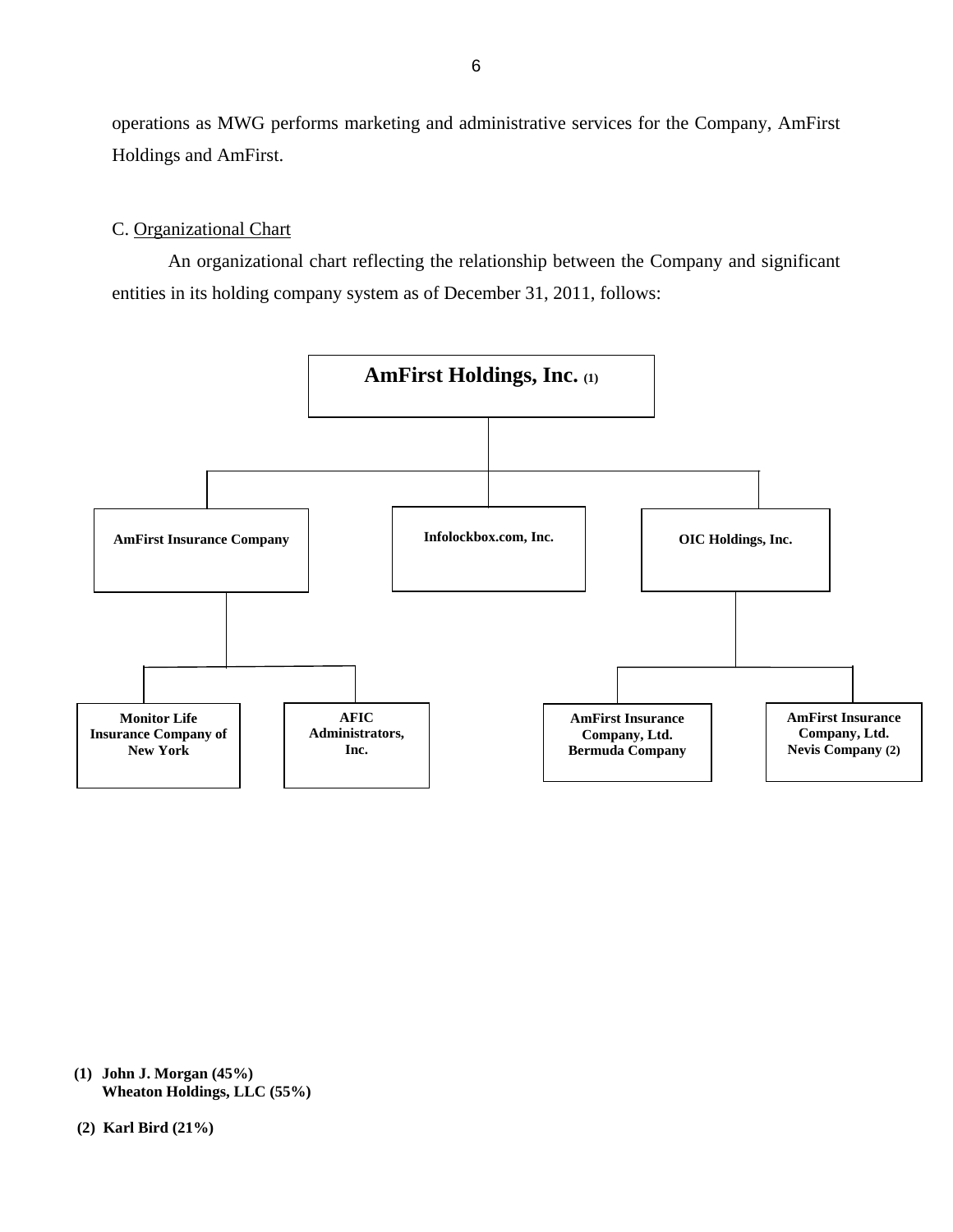<span id="page-8-0"></span>operations as MWG performs marketing and administrative services for the Company, AmFirst Holdings and AmFirst.

### C. Organizational Chart

An organizational chart reflecting the relationship between the Company and significant entities in its holding company system as of December 31, 2011, follows:



**(1) John J. Morgan (45%) Wheaton Holdings, LLC (55%)**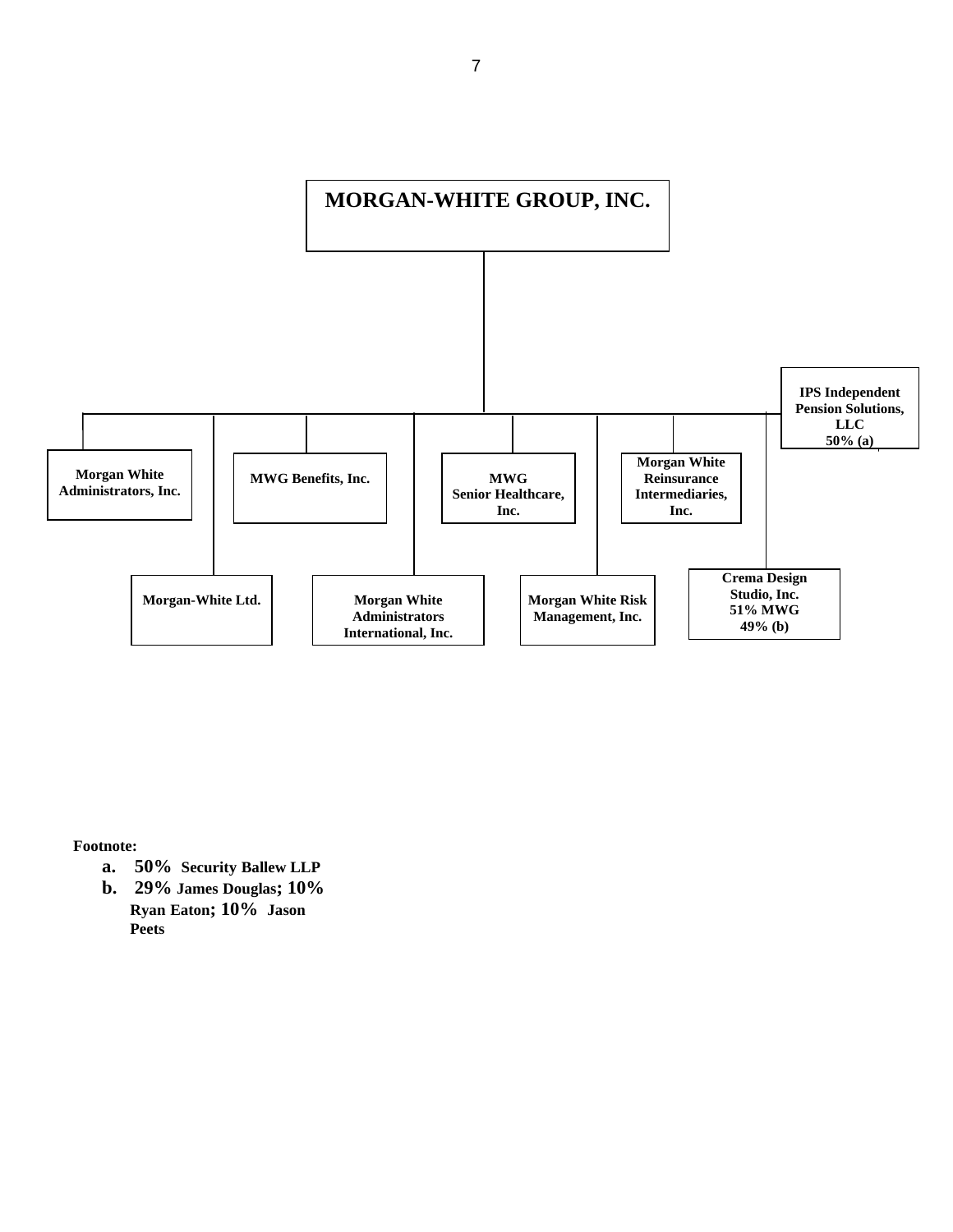

**Footnote:** 

- **a. 50% Security Ballew LLP**
- **Ryan Eaton; 10% Jason b. 29% James Douglas; 10% Peets**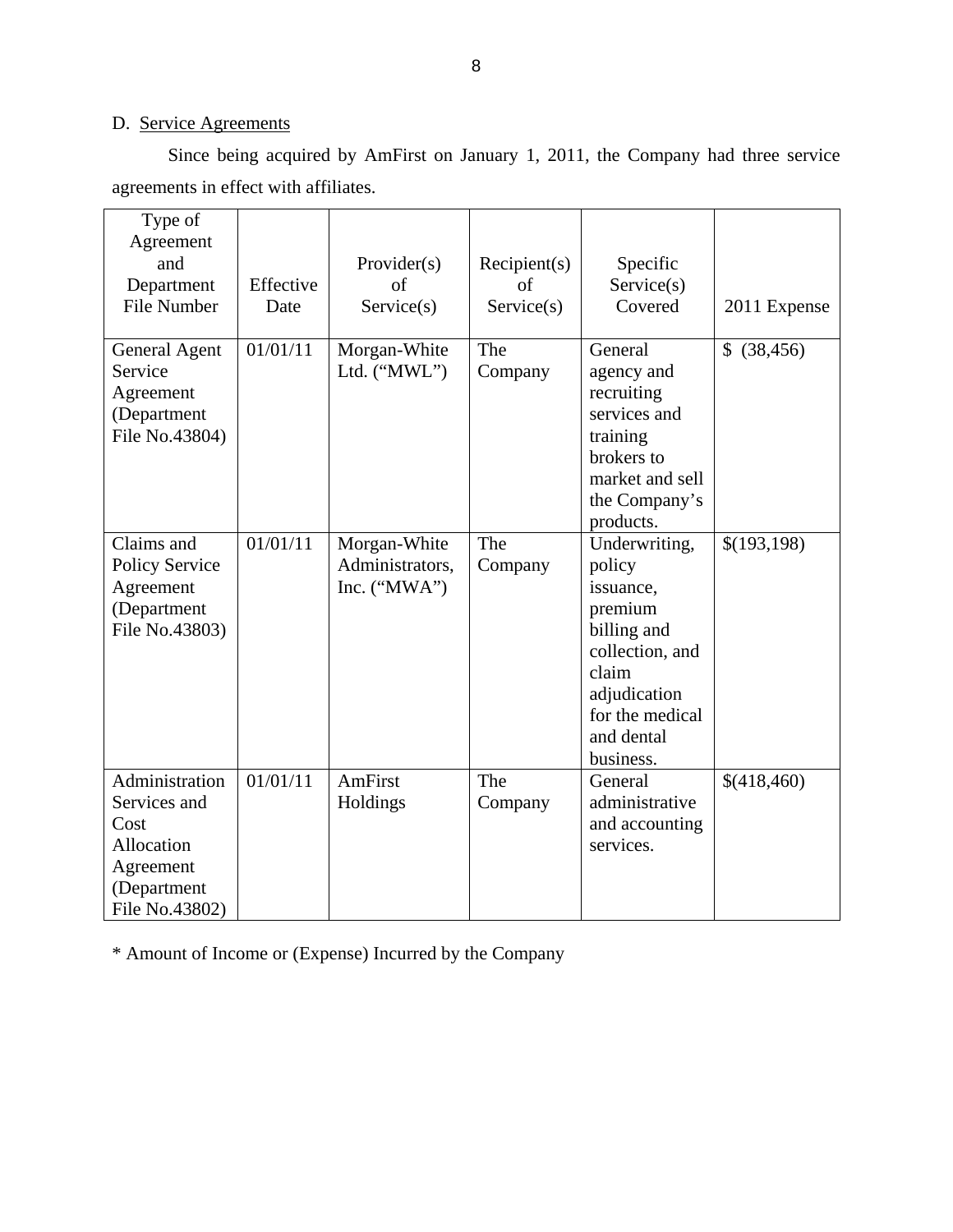## D. Service Agreements

Since being acquired by AmFirst on January 1, 2011, the Company had three service agreements in effect with affiliates.

| Type of<br>Agreement<br>and<br>Department<br><b>File Number</b>                                    | Effective<br>Date | Provider(s)<br>of<br>Service(s)                   | Recipient(s)<br>of<br>Service(s) | Specific<br>Service(s)<br>Covered                                                                                                                        | 2011 Expense    |
|----------------------------------------------------------------------------------------------------|-------------------|---------------------------------------------------|----------------------------------|----------------------------------------------------------------------------------------------------------------------------------------------------------|-----------------|
| General Agent<br>Service<br>Agreement<br>(Department<br>File No.43804)                             | 01/01/11          | Morgan-White<br>Ltd. ("MWL")                      | The<br>Company                   | General<br>agency and<br>recruiting<br>services and<br>training<br>brokers to<br>market and sell<br>the Company's<br>products.                           | \$<br>(38, 456) |
| Claims and<br><b>Policy Service</b><br>Agreement<br>(Department<br>File No.43803)                  | 01/01/11          | Morgan-White<br>Administrators,<br>Inc. $("MWA")$ | The<br>Company                   | Underwriting,<br>policy<br>issuance,<br>premium<br>billing and<br>collection, and<br>claim<br>adjudication<br>for the medical<br>and dental<br>business. | \$(193,198)     |
| Administration<br>Services and<br>Cost<br>Allocation<br>Agreement<br>(Department<br>File No.43802) | 01/01/11          | AmFirst<br>Holdings                               | The<br>Company                   | General<br>administrative<br>and accounting<br>services.                                                                                                 | \$(418,460)     |

\* Amount of Income or (Expense) Incurred by the Company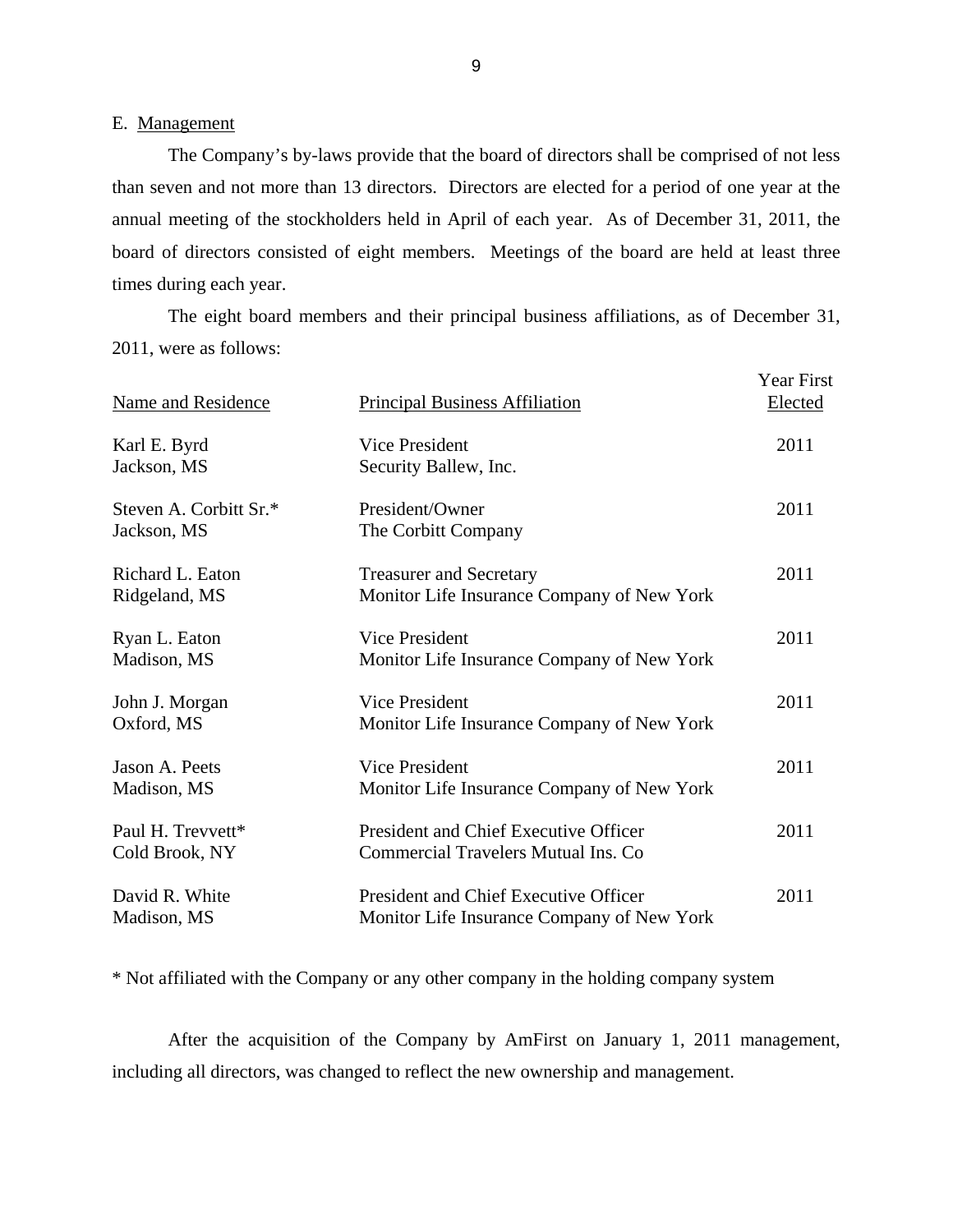### E. Management

The Company's by-laws provide that the board of directors shall be comprised of not less than seven and not more than 13 directors. Directors are elected for a period of one year at the annual meeting of the stockholders held in April of each year. As of December 31, 2011, the board of directors consisted of eight members. Meetings of the board are held at least three times during each year.

The eight board members and their principal business affiliations, as of December 31, 2011, were as follows:

| <b>Name and Residence</b>             | <b>Principal Business Affiliation</b>                                               | <b>Year First</b><br>Elected |
|---------------------------------------|-------------------------------------------------------------------------------------|------------------------------|
| Karl E. Byrd<br>Jackson, MS           | Vice President<br>Security Ballew, Inc.                                             | 2011                         |
| Steven A. Corbitt Sr.*<br>Jackson, MS | President/Owner<br>The Corbitt Company                                              | 2011                         |
| Richard L. Eaton<br>Ridgeland, MS     | <b>Treasurer and Secretary</b><br>Monitor Life Insurance Company of New York        | 2011                         |
| Ryan L. Eaton<br>Madison, MS          | Vice President<br>Monitor Life Insurance Company of New York                        | 2011                         |
| John J. Morgan<br>Oxford, MS          | <b>Vice President</b><br>Monitor Life Insurance Company of New York                 | 2011                         |
| Jason A. Peets<br>Madison, MS         | <b>Vice President</b><br>Monitor Life Insurance Company of New York                 | 2011                         |
| Paul H. Trevvett*<br>Cold Brook, NY   | President and Chief Executive Officer<br><b>Commercial Travelers Mutual Ins. Co</b> | 2011                         |
| David R. White<br>Madison, MS         | President and Chief Executive Officer<br>Monitor Life Insurance Company of New York | 2011                         |

\* Not affiliated with the Company or any other company in the holding company system

After the acquisition of the Company by AmFirst on January 1, 2011 management, including all directors, was changed to reflect the new ownership and management.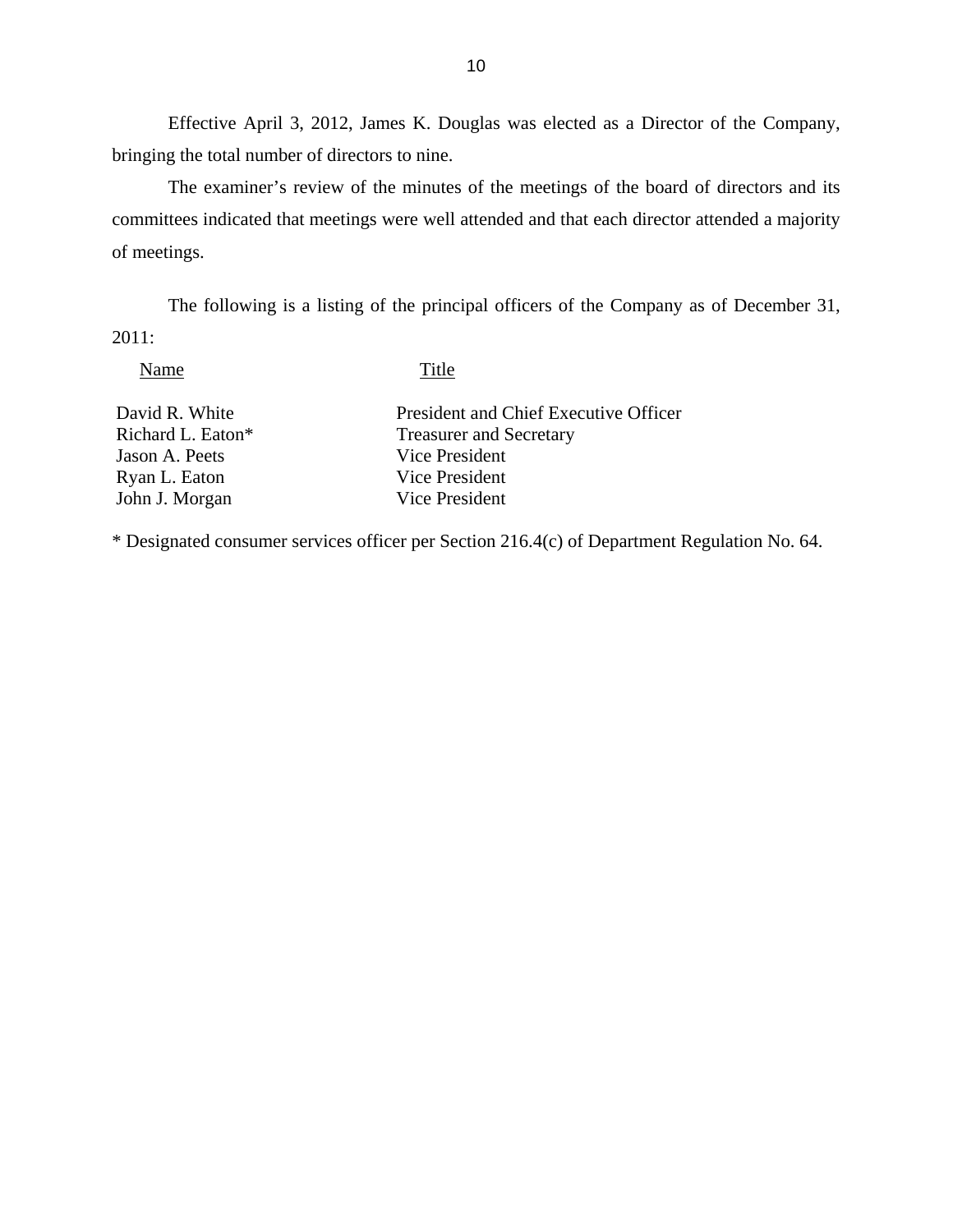Effective April 3, 2012, James K. Douglas was elected as a Director of the Company, bringing the total number of directors to nine.

The examiner's review of the minutes of the meetings of the board of directors and its committees indicated that meetings were well attended and that each director attended a majority of meetings.

The following is a listing of the principal officers of the Company as of December 31, 2011:

Name Title

David R. White President and Chief Executive Officer Richard L. Eaton\* Treasurer and Secretary Jason A. Peets Vice President<br>
Ryan L. Eaton Vice President Ryan L. Eaton John J. Morgan Vice President

\* Designated consumer services officer per Section 216.4(c) of Department Regulation No. 64.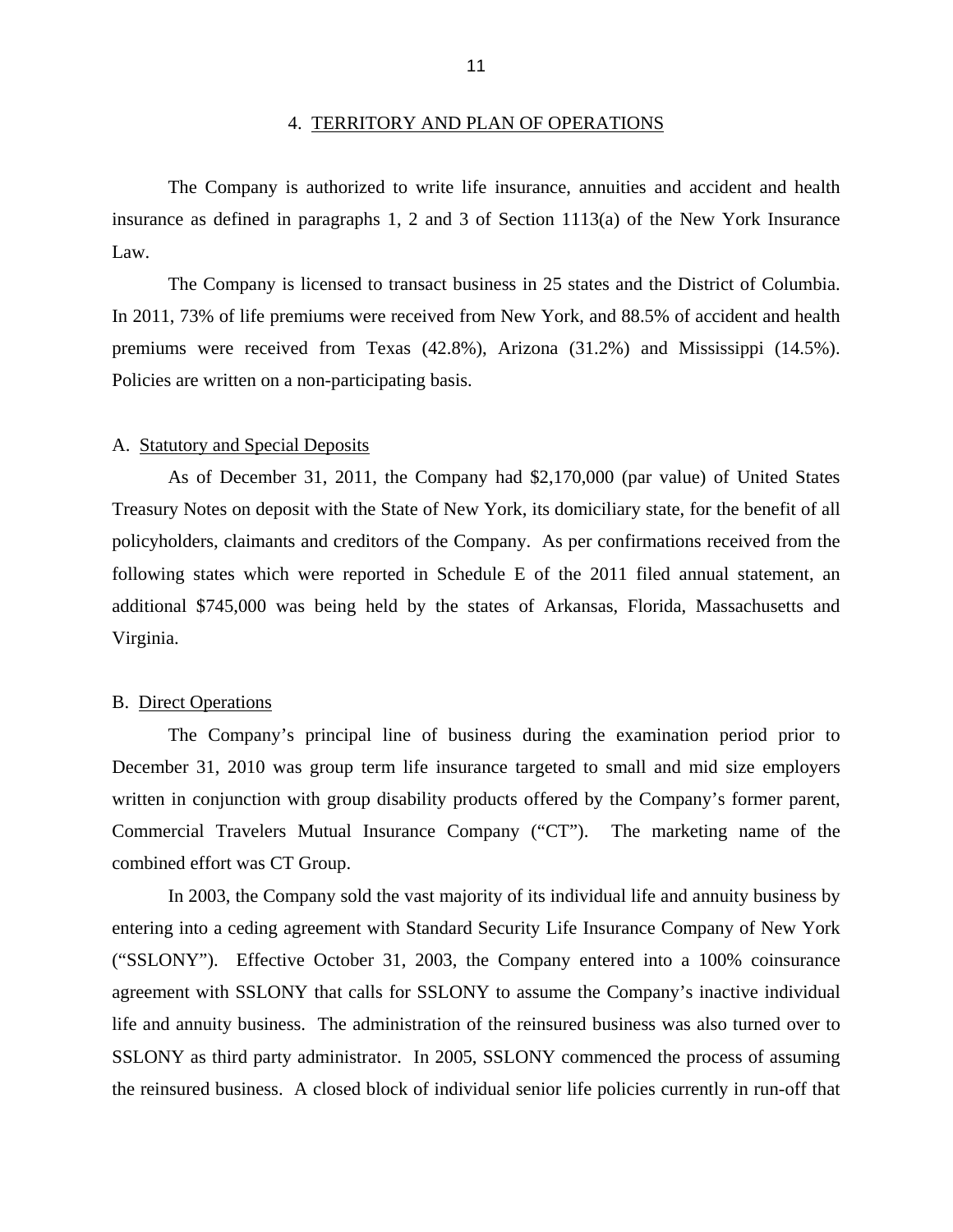<span id="page-13-0"></span>The Company is authorized to write life insurance, annuities and accident and health insurance as defined in paragraphs 1, 2 and 3 of Section 1113(a) of the New York Insurance Law.

premiums were received from Texas (42.8%), Arizona (31.2%) and Mississippi (14.5%).<br>Policies are written on a non-participating basis. The Company is licensed to transact business in 25 states and the District of Columbia. In 2011, 73% of life premiums were received from New York, and 88.5% of accident and health

### A. Statutory and Special Deposits

As of December 31, 2011, the Company had \$2,170,000 (par value) of United States Treasury Notes on deposit with the State of New York, its domiciliary state, for the benefit of all policyholders, claimants and creditors of the Company. As per confirmations received from the following states which were reported in Schedule E of the 2011 filed annual statement, an additional \$745,000 was being held by the states of Arkansas, Florida, Massachusetts and Virginia.

### B. Direct Operations

The Company's principal line of business during the examination period prior to December 31, 2010 was group term life insurance targeted to small and mid size employers written in conjunction with group disability products offered by the Company's former parent, Commercial Travelers Mutual Insurance Company ("CT"). The marketing name of the combined effort was CT Group.

In 2003, the Company sold the vast majority of its individual life and annuity business by entering into a ceding agreement with Standard Security Life Insurance Company of New York ("SSLONY"). Effective October 31, 2003, the Company entered into a 100% coinsurance agreement with SSLONY that calls for SSLONY to assume the Company's inactive individual life and annuity business. The administration of the reinsured business was also turned over to SSLONY as third party administrator. In 2005, SSLONY commenced the process of assuming the reinsured business. A closed block of individual senior life policies currently in run-off that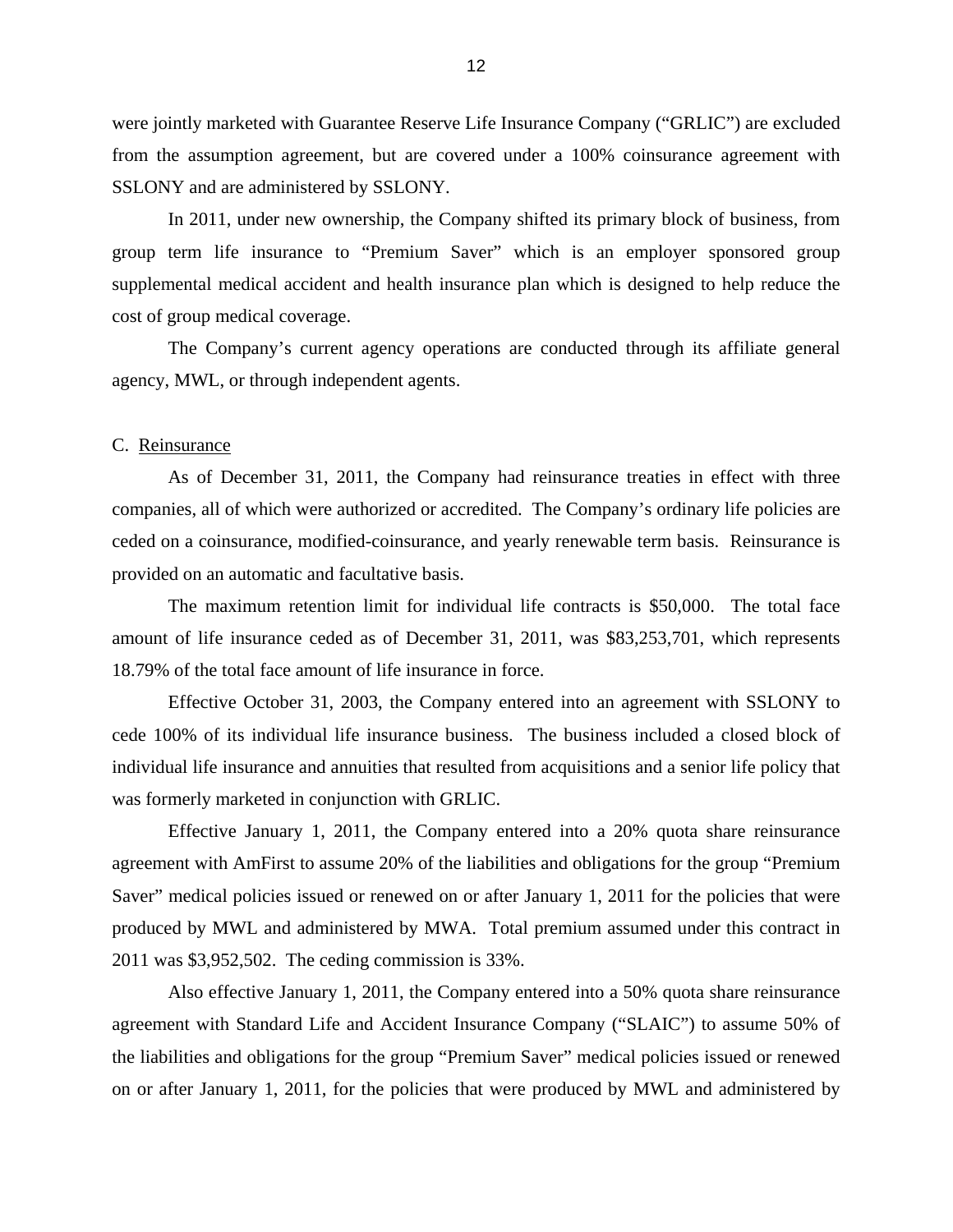<span id="page-14-0"></span>were jointly marketed with Guarantee Reserve Life Insurance Company ("GRLIC") are excluded from the assumption agreement, but are covered under a 100% coinsurance agreement with SSLONY and are administered by SSLONY.

In 2011, under new ownership, the Company shifted its primary block of business, from group term life insurance to "Premium Saver" which is an employer sponsored group supplemental medical accident and health insurance plan which is designed to help reduce the cost of group medical coverage.

The Company's current agency operations are conducted through its affiliate general agency, MWL, or through independent agents.

### C. Reinsurance

As of December 31, 2011, the Company had reinsurance treaties in effect with three companies, all of which were authorized or accredited. The Company's ordinary life policies are ceded on a coinsurance, modified-coinsurance, and yearly renewable term basis. Reinsurance is provided on an automatic and facultative basis.

The maximum retention limit for individual life contracts is \$50,000. The total face amount of life insurance ceded as of December 31, 2011, was \$83,253,701, which represents 18.79% of the total face amount of life insurance in force.

Effective October 31, 2003, the Company entered into an agreement with SSLONY to cede 100% of its individual life insurance business. The business included a closed block of individual life insurance and annuities that resulted from acquisitions and a senior life policy that was formerly marketed in conjunction with GRLIC.

Effective January 1, 2011, the Company entered into a 20% quota share reinsurance agreement with AmFirst to assume 20% of the liabilities and obligations for the group "Premium Saver" medical policies issued or renewed on or after January 1, 2011 for the policies that were produced by MWL and administered by MWA. Total premium assumed under this contract in 2011 was \$3,952,502. The ceding commission is 33%.

Also effective January 1, 2011, the Company entered into a 50% quota share reinsurance agreement with Standard Life and Accident Insurance Company ("SLAIC") to assume 50% of the liabilities and obligations for the group "Premium Saver" medical policies issued or renewed on or after January 1, 2011, for the policies that were produced by MWL and administered by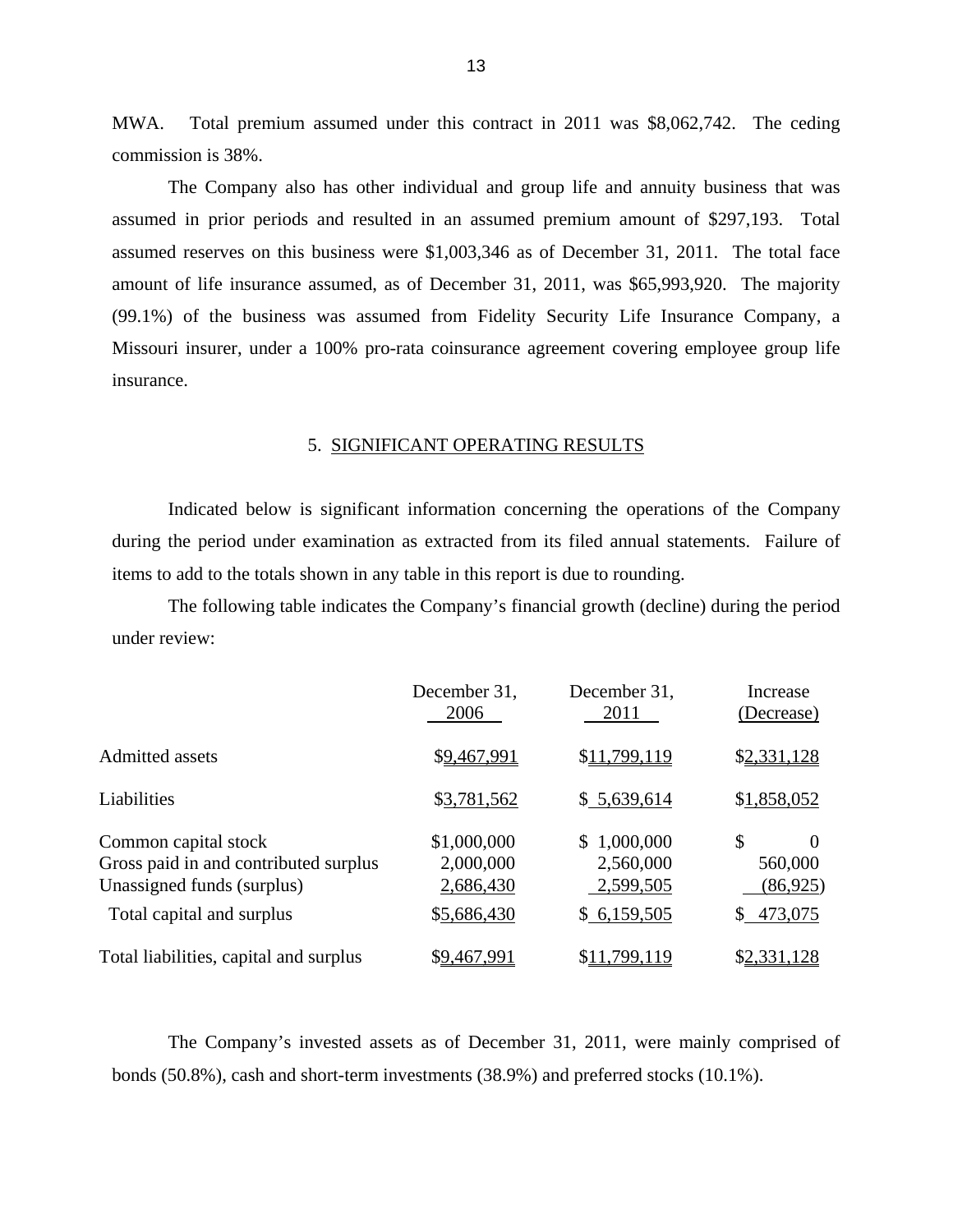MWA. Total premium assumed under this contract in 2011 was \$8,062,742. The ceding commission is 38%.

The Company also has other individual and group life and annuity business that was assumed in prior periods and resulted in an assumed premium amount of \$297,193. Total assumed reserves on this business were \$1,003,346 as of December 31, 2011. The total face amount of life insurance assumed, as of December 31, 2011, was \$65,993,920. The majority (99.1%) of the business was assumed from Fidelity Security Life Insurance Company, a Missouri insurer, under a 100% pro-rata coinsurance agreement covering employee group life insurance.

#### 5. SIGNIFICANT OPERATING RESULTS

Indicated below is significant information concerning the operations of the Company during the period under examination as extracted from its filed annual statements. Failure of items to add to the totals shown in any table in this report is due to rounding.

The following table indicates the Company's financial growth (decline) during the period under review:

|                                                                                                                          | December 31,<br>2006                                 | December 31,<br>2011                                     | Increase<br>(Decrease)                                  |
|--------------------------------------------------------------------------------------------------------------------------|------------------------------------------------------|----------------------------------------------------------|---------------------------------------------------------|
| <b>Admitted assets</b>                                                                                                   | \$9,467,991                                          | \$11,799,119                                             | \$2,331,128                                             |
| Liabilities                                                                                                              | \$3,781,562                                          | \$5,639,614                                              | \$1,858,052                                             |
| Common capital stock<br>Gross paid in and contributed surplus<br>Unassigned funds (surplus)<br>Total capital and surplus | \$1,000,000<br>2,000,000<br>2,686,430<br>\$5,686,430 | 1,000,000<br>S.<br>2,560,000<br>2,599,505<br>\$6,159,505 | \$<br>$\Omega$<br>560,000<br>(86, 925)<br>473,075<br>S. |
| Total liabilities, capital and surplus                                                                                   | \$9,467,991                                          | \$11.799.119                                             | \$2,331,128                                             |

The Company's invested assets as of December 31, 2011, were mainly comprised of bonds (50.8%), cash and short-term investments (38.9%) and preferred stocks (10.1%).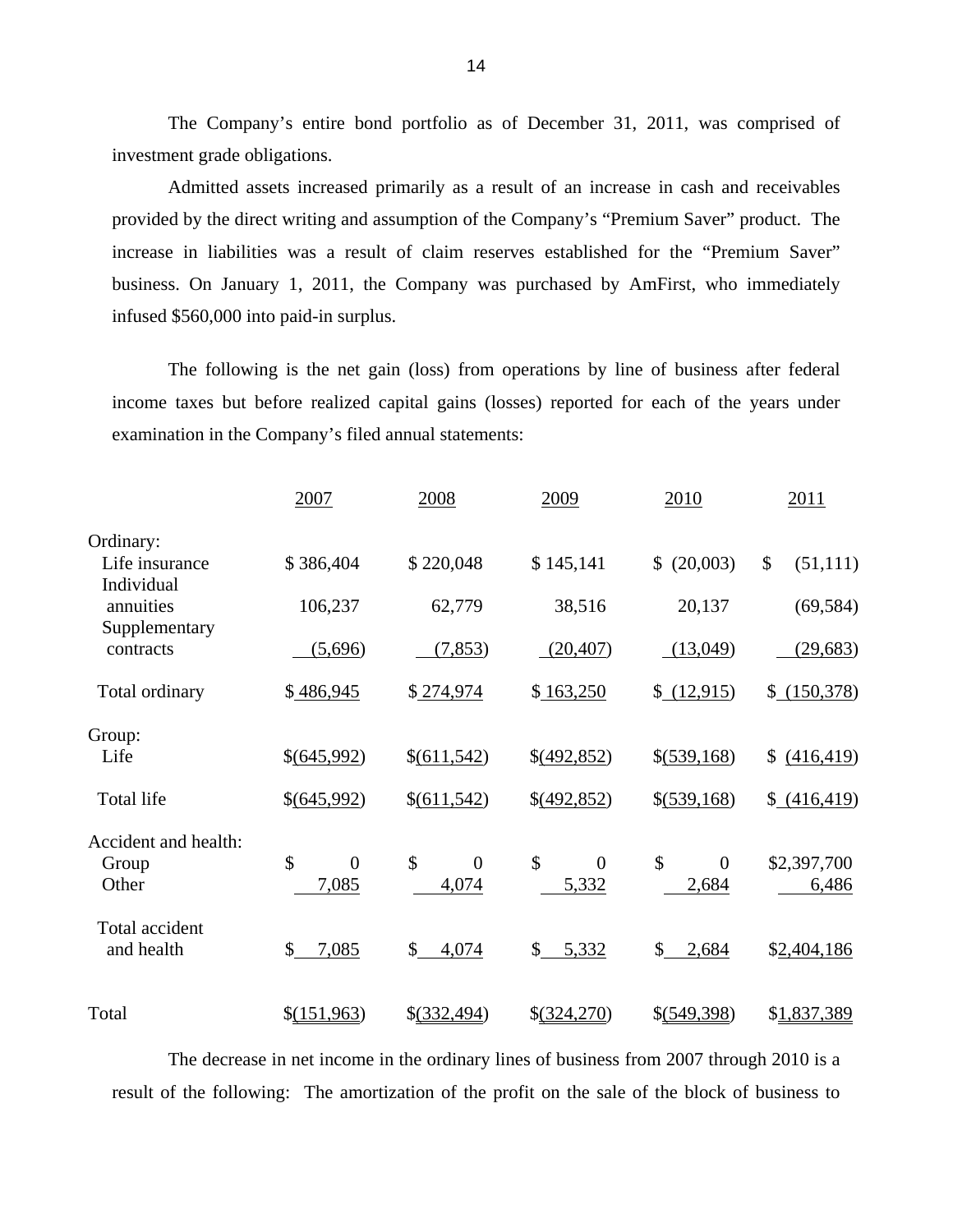The Company's entire bond portfolio as of December 31, 2011, was comprised of investment grade obligations.

Admitted assets increased primarily as a result of an increase in cash and receivables provided by the direct writing and assumption of the Company's "Premium Saver" product. The increase in liabilities was a result of claim reserves established for the "Premium Saver" business. On January 1, 2011, the Company was purchased by AmFirst, who immediately infused \$560,000 into paid-in surplus.

The following is the net gain (loss) from operations by line of business after federal income taxes but before realized capital gains (losses) reported for each of the years under examination in the Company's filed annual statements:

|                                        | 2007                          | 2008                                     | 2009                          | 2010                                     | 2011                 |
|----------------------------------------|-------------------------------|------------------------------------------|-------------------------------|------------------------------------------|----------------------|
| Ordinary:<br>Life insurance            | \$386,404                     | \$220,048                                | \$145,141                     | (20,003)<br>\$                           | \$<br>(51, 111)      |
| Individual<br>annuities                | 106,237                       | 62,779                                   | 38,516                        | 20,137                                   | (69, 584)            |
| Supplementary<br>contracts             | (5,696)                       | (7, 853)                                 | (20, 407)                     | (13,049)                                 | (29, 683)            |
| Total ordinary                         | \$486,945                     | \$274,974                                | \$163,250                     | \$ (12,915)                              | \$ (150,378)         |
| Group:<br>Life                         | \$(645,992)                   | \$(611,542)                              | $\S(492, 852)$                | $$(\underline{539,168})$                 | \$<br>(416, 419)     |
| <b>Total life</b>                      | \$(645,992)                   | \$(611,542)                              | \$(492,852)                   | \$(539,168)                              | (416, 419)           |
| Accident and health:<br>Group<br>Other | \$<br>$\overline{0}$<br>7,085 | $\mathcal{S}$<br>$\overline{0}$<br>4,074 | \$<br>$\overline{0}$<br>5,332 | $\mathcal{S}$<br>$\overline{0}$<br>2,684 | \$2,397,700<br>6,486 |
| Total accident<br>and health           | \$<br>7,085                   | $\mathbb{S}$<br>4,074                    | 5,332<br>\$                   | \$<br>2,684                              | \$2,404,186          |
| Total                                  | \$(151,963)                   | \$(332,494)                              | \$(324,270)                   | \$(549,398)                              | \$1,837,389          |

The decrease in net income in the ordinary lines of business from 2007 through 2010 is a result of the following: The amortization of the profit on the sale of the block of business to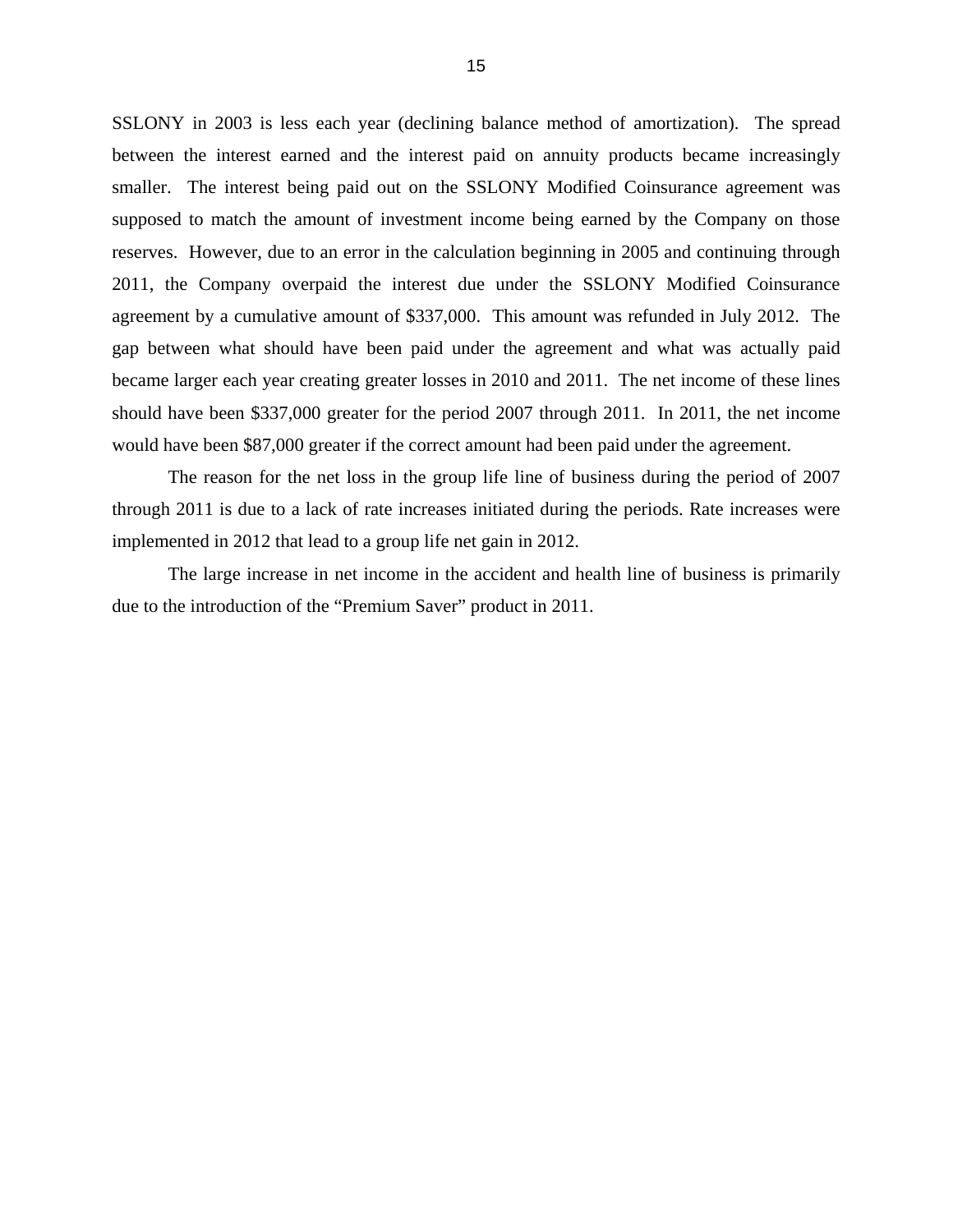SSLONY in 2003 is less each year (declining balance method of amortization). The spread between the interest earned and the interest paid on annuity products became increasingly smaller. The interest being paid out on the SSLONY Modified Coinsurance agreement was supposed to match the amount of investment income being earned by the Company on those reserves. However, due to an error in the calculation beginning in 2005 and continuing through 2011, the Company overpaid the interest due under the SSLONY Modified Coinsurance agreement by a cumulative amount of \$337,000. This amount was refunded in July 2012. The gap between what should have been paid under the agreement and what was actually paid became larger each year creating greater losses in 2010 and 2011. The net income of these lines should have been \$337,000 greater for the period 2007 through 2011. In 2011, the net income would have been \$87,000 greater if the correct amount had been paid under the agreement.

The reason for the net loss in the group life line of business during the period of 2007 through 2011 is due to a lack of rate increases initiated during the periods. Rate increases were implemented in 2012 that lead to a group life net gain in 2012.

The large increase in net income in the accident and health line of business is primarily due to the introduction of the "Premium Saver" product in 2011.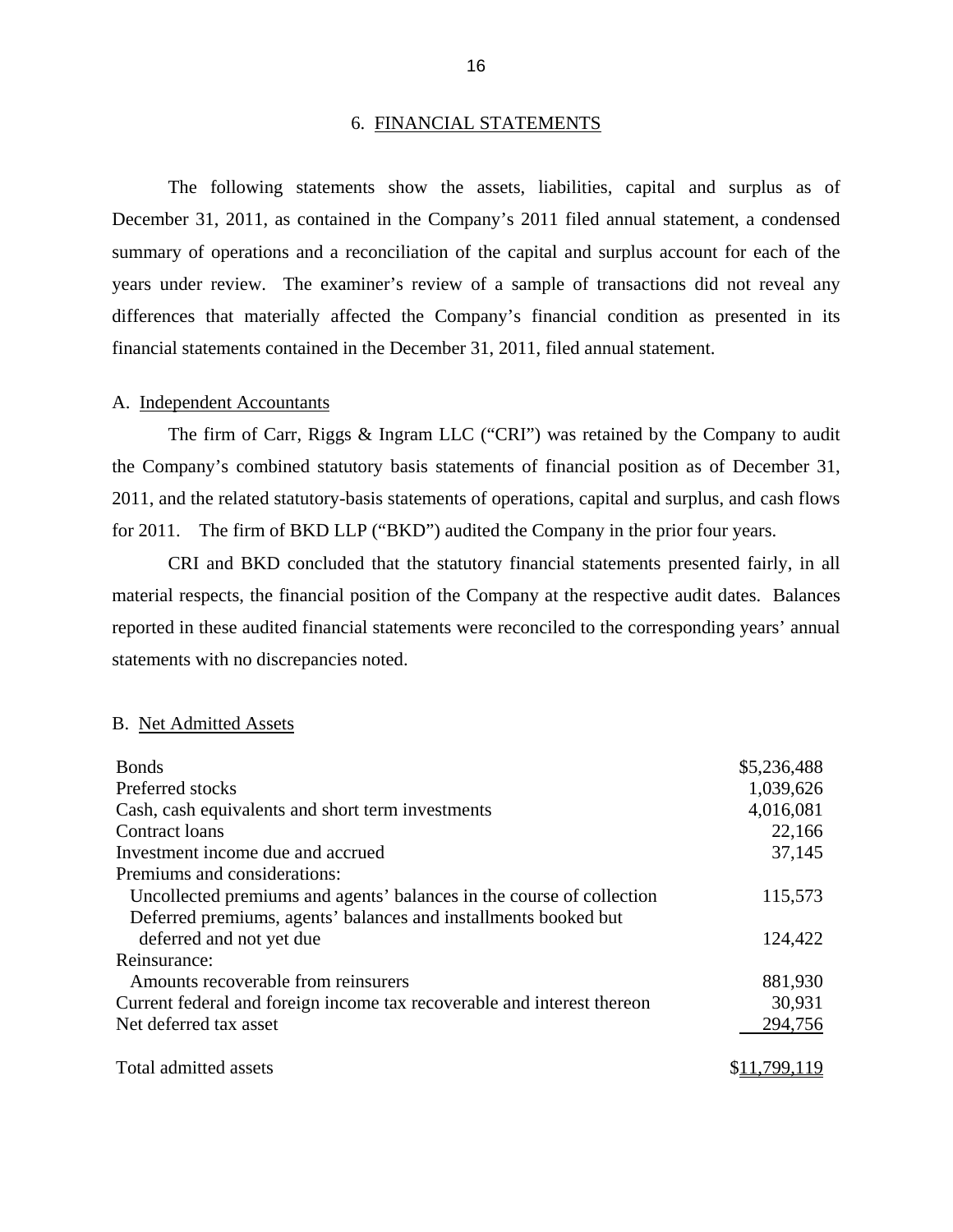### 6. FINANCIAL STATEMENTS

<span id="page-18-0"></span>The following statements show the assets, liabilities, capital and surplus as of December 31, 2011, as contained in the Company's 2011 filed annual statement, a condensed summary of operations and a reconciliation of the capital and surplus account for each of the years under review. The examiner's review of a sample of transactions did not reveal any differences that materially affected the Company's financial condition as presented in its financial statements contained in the December 31, 2011, filed annual statement.

### A. Independent Accountants

The firm of Carr, Riggs & Ingram LLC ("CRI") was retained by the Company to audit the Company's combined statutory basis statements of financial position as of December 31, 2011, and the related statutory-basis statements of operations, capital and surplus, and cash flows for 2011. The firm of BKD LLP ("BKD") audited the Company in the prior four years.

CRI and BKD concluded that the statutory financial statements presented fairly, in all material respects, the financial position of the Company at the respective audit dates. Balances reported in these audited financial statements were reconciled to the corresponding years' annual statements with no discrepancies noted.

### B. Net Admitted Assets

| <b>Bonds</b>                                                            | \$5,236,488 |
|-------------------------------------------------------------------------|-------------|
| Preferred stocks                                                        | 1,039,626   |
| Cash, cash equivalents and short term investments                       | 4,016,081   |
| Contract loans                                                          | 22,166      |
| Investment income due and accrued                                       | 37,145      |
| Premiums and considerations:                                            |             |
| Uncollected premiums and agents' balances in the course of collection   | 115,573     |
| Deferred premiums, agents' balances and installments booked but         |             |
| deferred and not yet due                                                | 124,422     |
| Reinsurance:                                                            |             |
| Amounts recoverable from reinsurers                                     | 881,930     |
| Current federal and foreign income tax recoverable and interest thereon | 30,931      |
| Net deferred tax asset                                                  | 294,756     |
| Total admitted assets                                                   |             |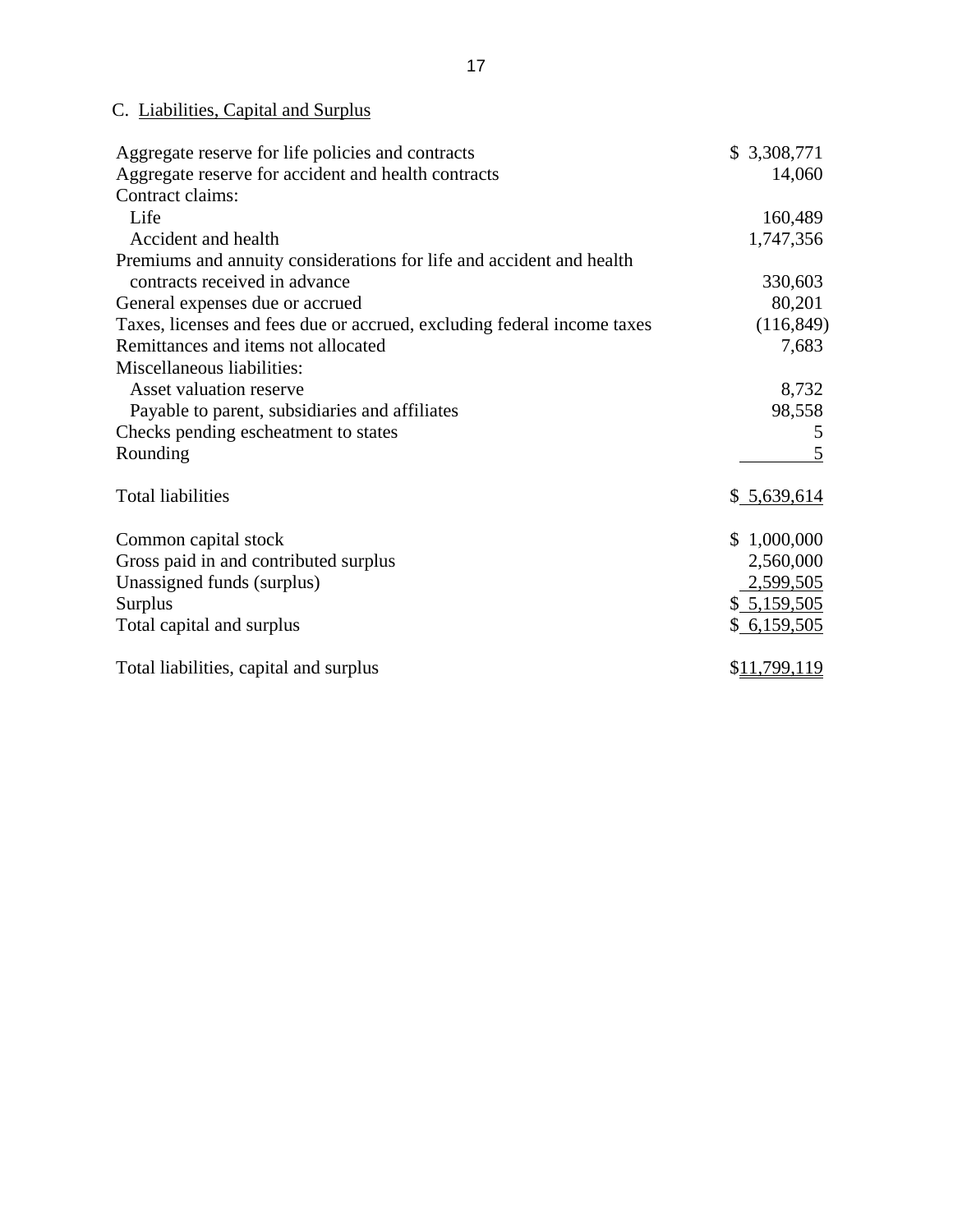## C. Liabilities, Capital and Surplus

| Aggregate reserve for life policies and contracts                       | \$3,308,771  |
|-------------------------------------------------------------------------|--------------|
| Aggregate reserve for accident and health contracts                     | 14,060       |
| Contract claims:                                                        |              |
| Life                                                                    | 160,489      |
| Accident and health                                                     | 1,747,356    |
| Premiums and annuity considerations for life and accident and health    |              |
| contracts received in advance                                           | 330,603      |
| General expenses due or accrued                                         | 80,201       |
| Taxes, licenses and fees due or accrued, excluding federal income taxes | (116, 849)   |
| Remittances and items not allocated                                     | 7,683        |
| Miscellaneous liabilities:                                              |              |
| Asset valuation reserve                                                 | 8,732        |
| Payable to parent, subsidiaries and affiliates                          | 98,558       |
| Checks pending escheatment to states                                    | 5            |
| Rounding                                                                |              |
| <b>Total liabilities</b>                                                | \$5,639,614  |
| Common capital stock                                                    | \$1,000,000  |
| Gross paid in and contributed surplus                                   | 2,560,000    |
| Unassigned funds (surplus)                                              | 2,599,505    |
| Surplus                                                                 | \$5,159,505  |
| Total capital and surplus                                               | \$6,159,505  |
| Total liabilities, capital and surplus                                  | \$11,799,119 |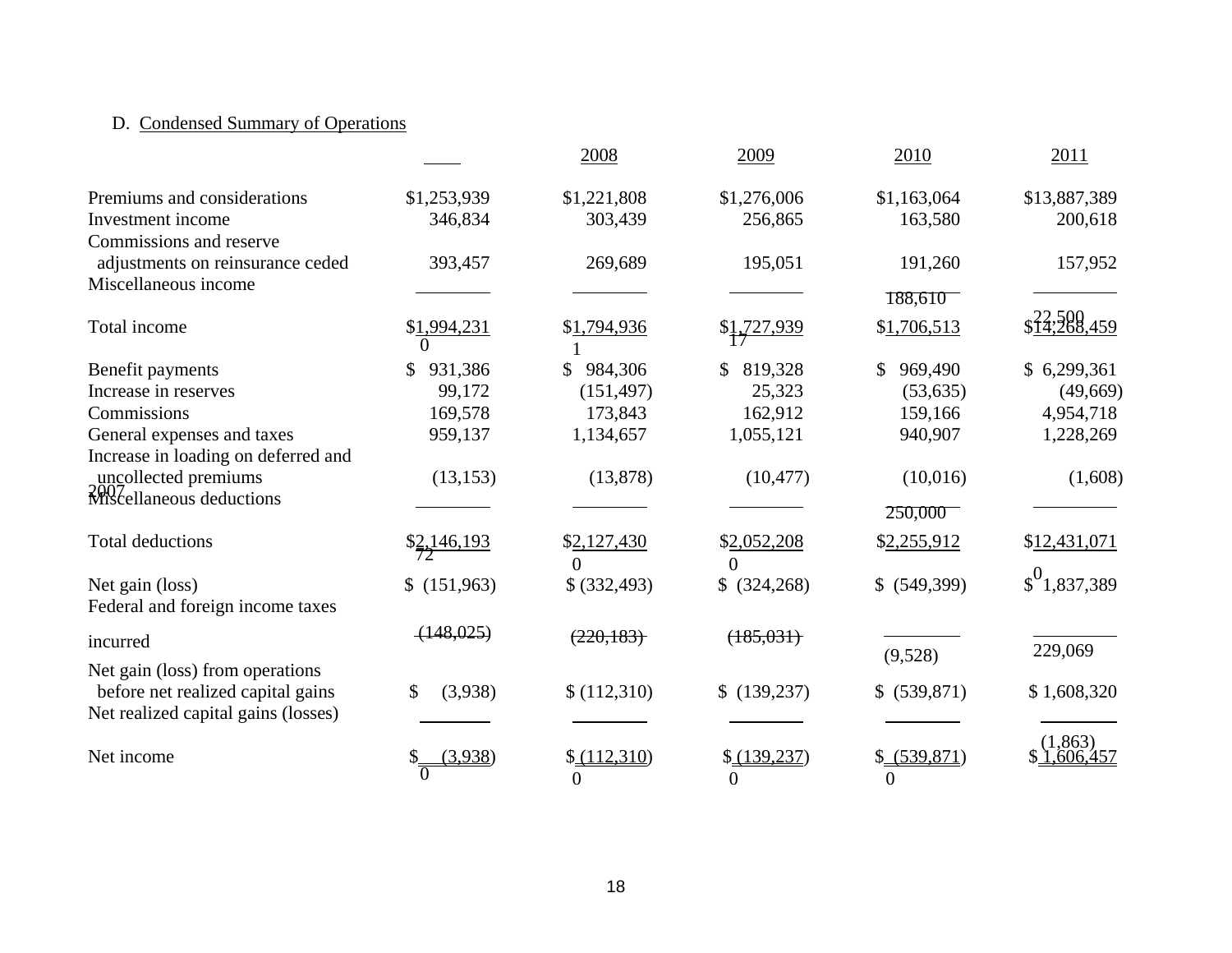## D. Condensed Summary of Operations

|                                     |                         | 2008           | 2009           | 2010           | 2011                 |
|-------------------------------------|-------------------------|----------------|----------------|----------------|----------------------|
| Premiums and considerations         | \$1,253,939             | \$1,221,808    | \$1,276,006    | \$1,163,064    | \$13,887,389         |
| Investment income                   | 346,834                 | 303,439        | 256,865        | 163,580        | 200,618              |
| Commissions and reserve             |                         |                |                |                |                      |
| adjustments on reinsurance ceded    | 393,457                 | 269,689        | 195,051        | 191,260        | 157,952              |
| Miscellaneous income                |                         |                |                |                |                      |
|                                     |                         |                |                | 188,610        |                      |
| Total income                        | \$1,994,231             | \$1,794,936    | \$1,727,939    | \$1,706,513    | \$14,268,459         |
|                                     |                         |                |                |                |                      |
| Benefit payments                    | 931,386<br>\$           | 984,306        | 819,328        | 969,490<br>\$  | \$6,299,361          |
| Increase in reserves                | 99,172                  | (151, 497)     | 25,323         | (53, 635)      | (49,669)             |
| Commissions                         | 169,578                 | 173,843        | 162,912        | 159,166        | 4,954,718            |
| General expenses and taxes          | 959,137                 | 1,134,657      | 1,055,121      | 940,907        | 1,228,269            |
| Increase in loading on deferred and |                         |                |                |                |                      |
| uncollected premiums                | (13, 153)               | (13, 878)      | (10, 477)      | (10,016)       | (1,608)              |
| 2007<br>Miscellaneous deductions    |                         |                |                |                |                      |
|                                     |                         |                |                | 250,000        |                      |
| <b>Total deductions</b>             | $\frac{$2,146,193}{$7}$ | \$2,127,430    | \$2,052,208    | \$2,255,912    | \$12,431,071         |
|                                     |                         | $\Omega$       | $\Omega$       |                |                      |
| Net gain (loss)                     | \$(151,963)             | \$ (332, 493)  | \$ (324, 268)  | $$$ (549,399)  | $\int_0^0$ 1,837,389 |
| Federal and foreign income taxes    |                         |                |                |                |                      |
|                                     | (148, 025)              |                |                |                |                      |
| incurred                            |                         | (220, 183)     | (185, 031)     | (9,528)        | 229,069              |
| Net gain (loss) from operations     |                         |                |                |                |                      |
| before net realized capital gains   | \$<br>(3,938)           | \$(112,310)    | \$(139,237)    | \$ (539,871)   | \$1,608,320          |
| Net realized capital gains (losses) |                         |                |                |                |                      |
|                                     |                         |                |                |                | (1, 863)             |
| Net income                          | (3,938)                 | (112,310)      | (139, 237)     | \$ (539,871)   | .606.457             |
|                                     |                         | $\overline{0}$ | $\overline{0}$ | $\overline{0}$ |                      |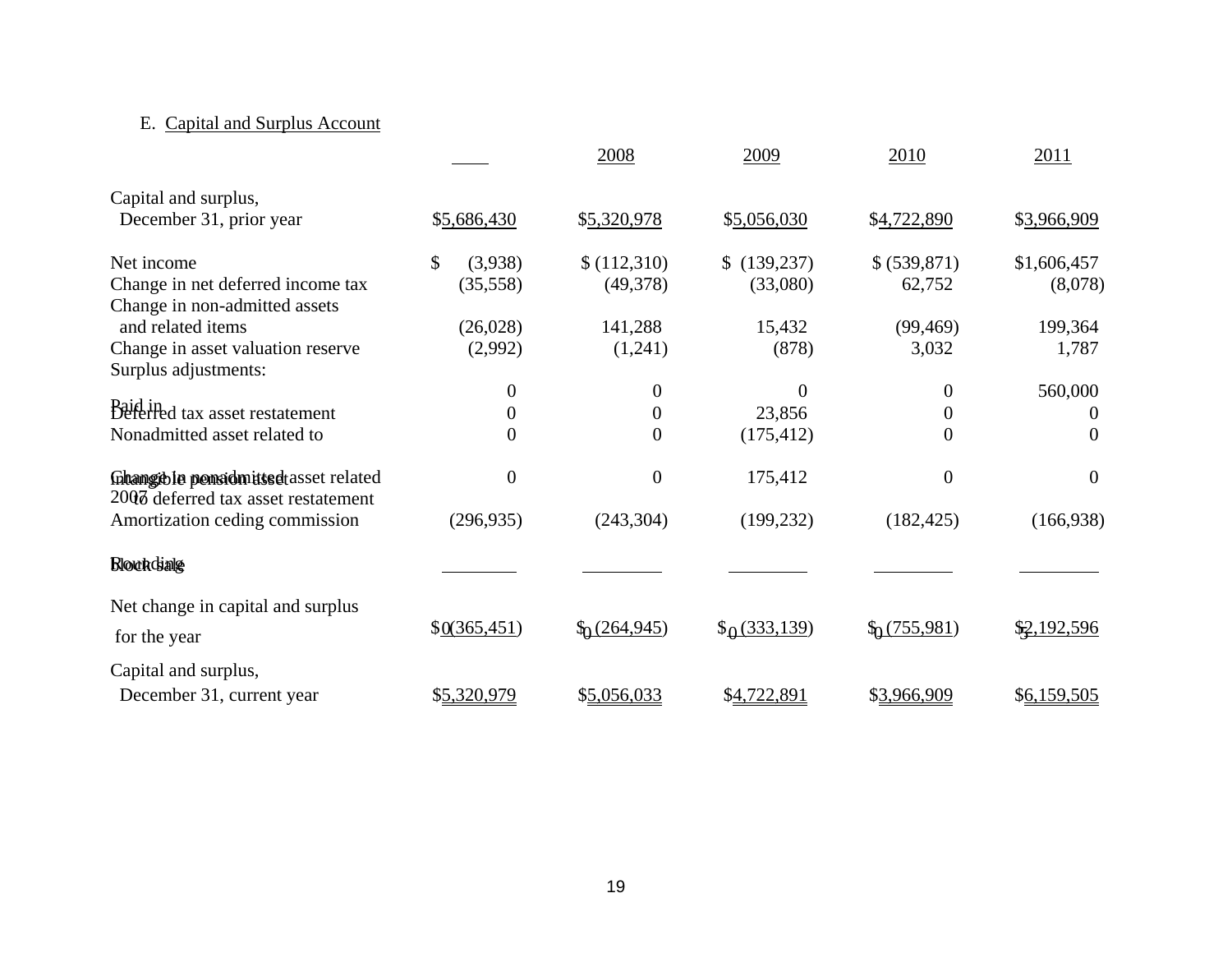## E. Capital and Surplus Account

|                                                                             |                  | 2008                                  | 2009                   | 2010                   | 2011                |
|-----------------------------------------------------------------------------|------------------|---------------------------------------|------------------------|------------------------|---------------------|
| Capital and surplus,                                                        |                  |                                       |                        |                        |                     |
| December 31, prior year                                                     | \$5,686,430      | \$5,320,978                           | \$5,056,030            | \$4,722,890            | \$3,966,909         |
| Net income                                                                  | \$<br>(3,938)    | \$(112,310)                           | \$(139,237)            | \$ (539,871)           | \$1,606,457         |
| Change in net deferred income tax<br>Change in non-admitted assets          | (35,558)         | (49,378)                              | (33,080)               | 62,752                 | (8,078)             |
| and related items                                                           | (26,028)         | 141,288                               | 15,432                 | (99, 469)              | 199,364             |
| Change in asset valuation reserve                                           | (2,992)          | (1,241)                               | (878)                  | 3,032                  | 1,787               |
| Surplus adjustments:                                                        | 0                | $\boldsymbol{0}$                      | $\Omega$               | $\theta$               |                     |
| Baid in tax asset restatement                                               | $\boldsymbol{0}$ | $\boldsymbol{0}$                      | 23,856                 | $\boldsymbol{0}$       | 560,000<br>$\theta$ |
| Nonadmitted asset related to                                                | $\overline{0}$   | $\theta$                              |                        | $\Omega$               | $\theta$            |
|                                                                             |                  |                                       | (175, 412)             |                        |                     |
| Ghamgible pensidmitted asset related<br>2007 deferred tax asset restatement | $\overline{0}$   | $\overline{0}$                        | 175,412                | $\theta$               | $\theta$            |
| Amortization ceding commission                                              | (296, 935)       | (243, 304)                            | (199, 232)             | (182, 425)             | (166, 938)          |
| <b>Bloundiale</b>                                                           |                  |                                       |                        |                        |                     |
| Net change in capital and surplus                                           |                  |                                       |                        |                        |                     |
| for the year                                                                | \$0(365, 451)    | $\frac{\binom{6}{1264,945}}{264,945}$ | $\frac{6(333,139)}{2}$ | $\frac{6(755,981)}{2}$ | \$2,192,596         |
| Capital and surplus,                                                        |                  |                                       |                        |                        |                     |
| December 31, current year                                                   | \$5,320,979      | \$5,056,033                           | \$4,722,891            | \$3,966,909            | \$6,159,505         |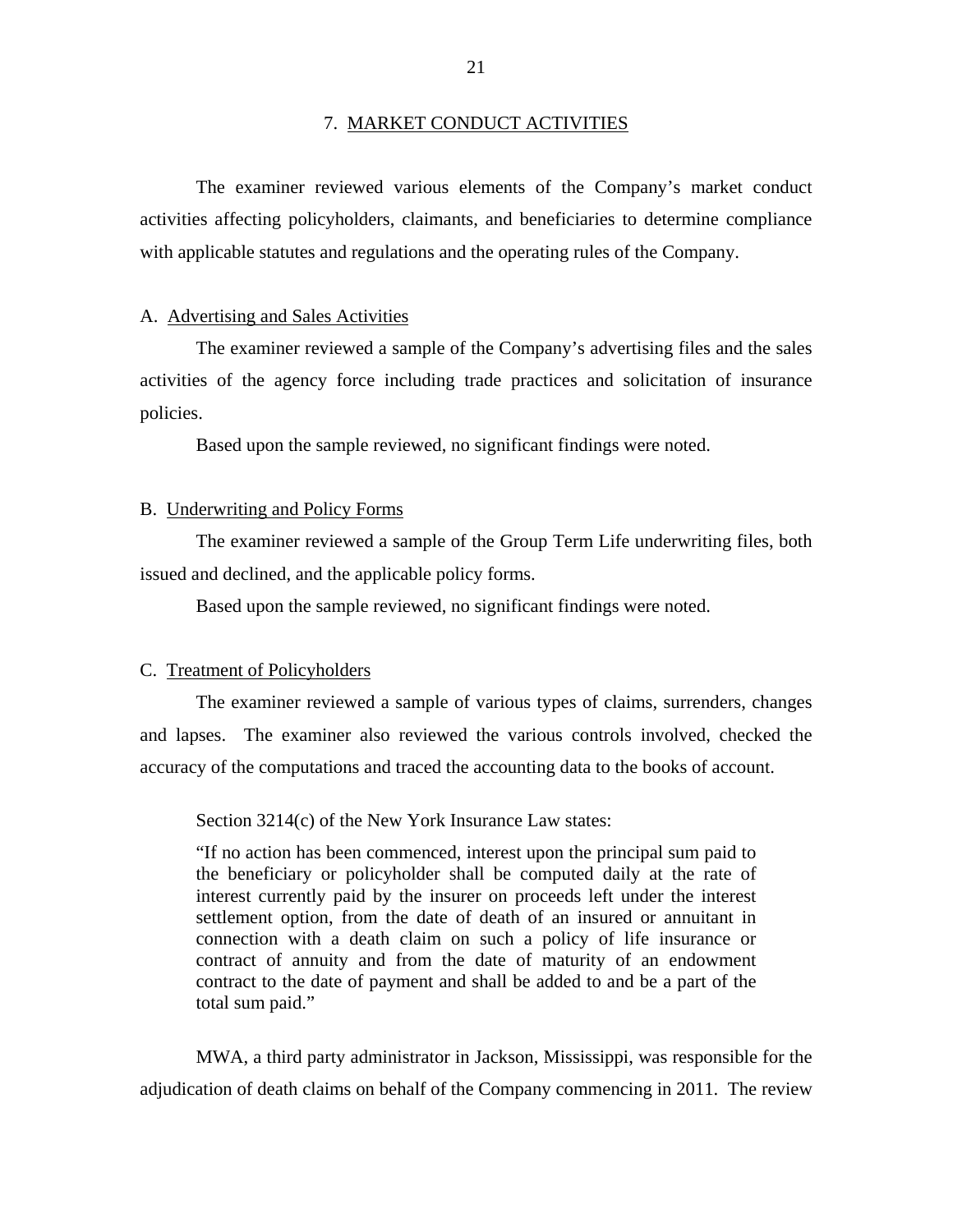<span id="page-22-0"></span>The examiner reviewed various elements of the Company's market conduct activities affecting policyholders, claimants, and beneficiaries to determine compliance with applicable statutes and regulations and the operating rules of the Company.

### A. Advertising and Sales Activities

The examiner reviewed a sample of the Company's advertising files and the sales activities of the agency force including trade practices and solicitation of insurance policies.

Based upon the sample reviewed, no significant findings were noted.

### B. Underwriting and Policy Forms

The examiner reviewed a sample of the Group Term Life underwriting files, both issued and declined, and the applicable policy forms.

Based upon the sample reviewed, no significant findings were noted.

### C. Treatment of Policyholders

The examiner reviewed a sample of various types of claims, surrenders, changes and lapses. The examiner also reviewed the various controls involved, checked the accuracy of the computations and traced the accounting data to the books of account.

Section 3214(c) of the New York Insurance Law states:

"If no action has been commenced, interest upon the principal sum paid to the beneficiary or policyholder shall be computed daily at the rate of interest currently paid by the insurer on proceeds left under the interest settlement option, from the date of death of an insured or annuitant in connection with a death claim on such a policy of life insurance or contract of annuity and from the date of maturity of an endowment contract to the date of payment and shall be added to and be a part of the total sum paid."

MWA, a third party administrator in Jackson, Mississippi, was responsible for the adjudication of death claims on behalf of the Company commencing in 2011. The review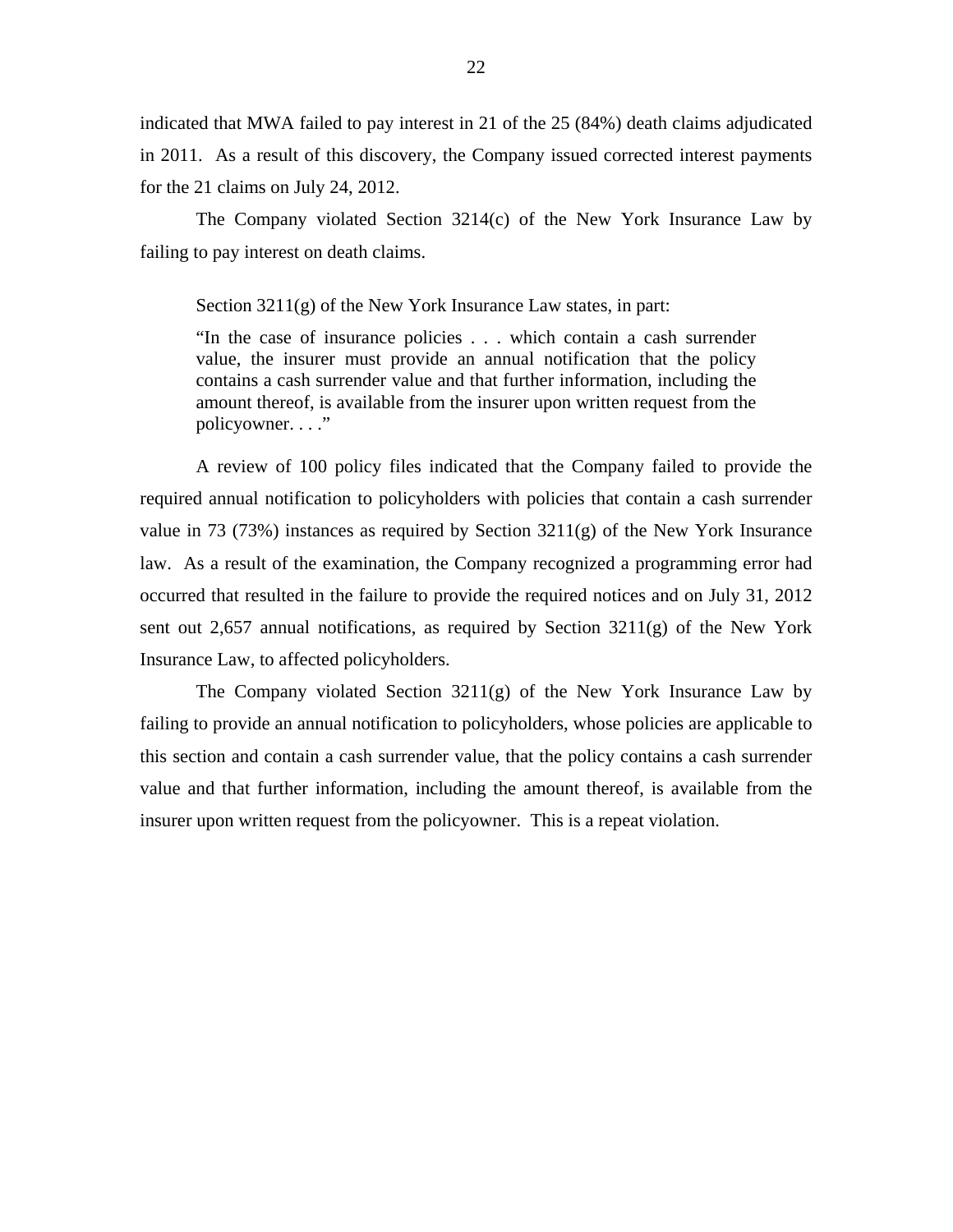indicated that MWA failed to pay interest in 21 of the 25 (84%) death claims adjudicated in 2011. As a result of this discovery, the Company issued corrected interest payments for the 21 claims on July 24, 2012.

The Company violated Section 3214(c) of the New York Insurance Law by failing to pay interest on death claims.

Section 3211(g) of the New York Insurance Law states, in part:

"In the case of insurance policies . . . which contain a cash surrender value, the insurer must provide an annual notification that the policy contains a cash surrender value and that further information, including the amount thereof, is available from the insurer upon written request from the policyowner. . . ."

A review of 100 policy files indicated that the Company failed to provide the required annual notification to policyholders with policies that contain a cash surrender value in 73 (73%) instances as required by Section  $3211(g)$  of the New York Insurance law. As a result of the examination, the Company recognized a programming error had occurred that resulted in the failure to provide the required notices and on July 31, 2012 sent out 2,657 annual notifications, as required by Section 3211(g) of the New York Insurance Law, to affected policyholders.

The Company violated Section 3211(g) of the New York Insurance Law by failing to provide an annual notification to policyholders, whose policies are applicable to this section and contain a cash surrender value, that the policy contains a cash surrender value and that further information, including the amount thereof, is available from the insurer upon written request from the policyowner. This is a repeat violation.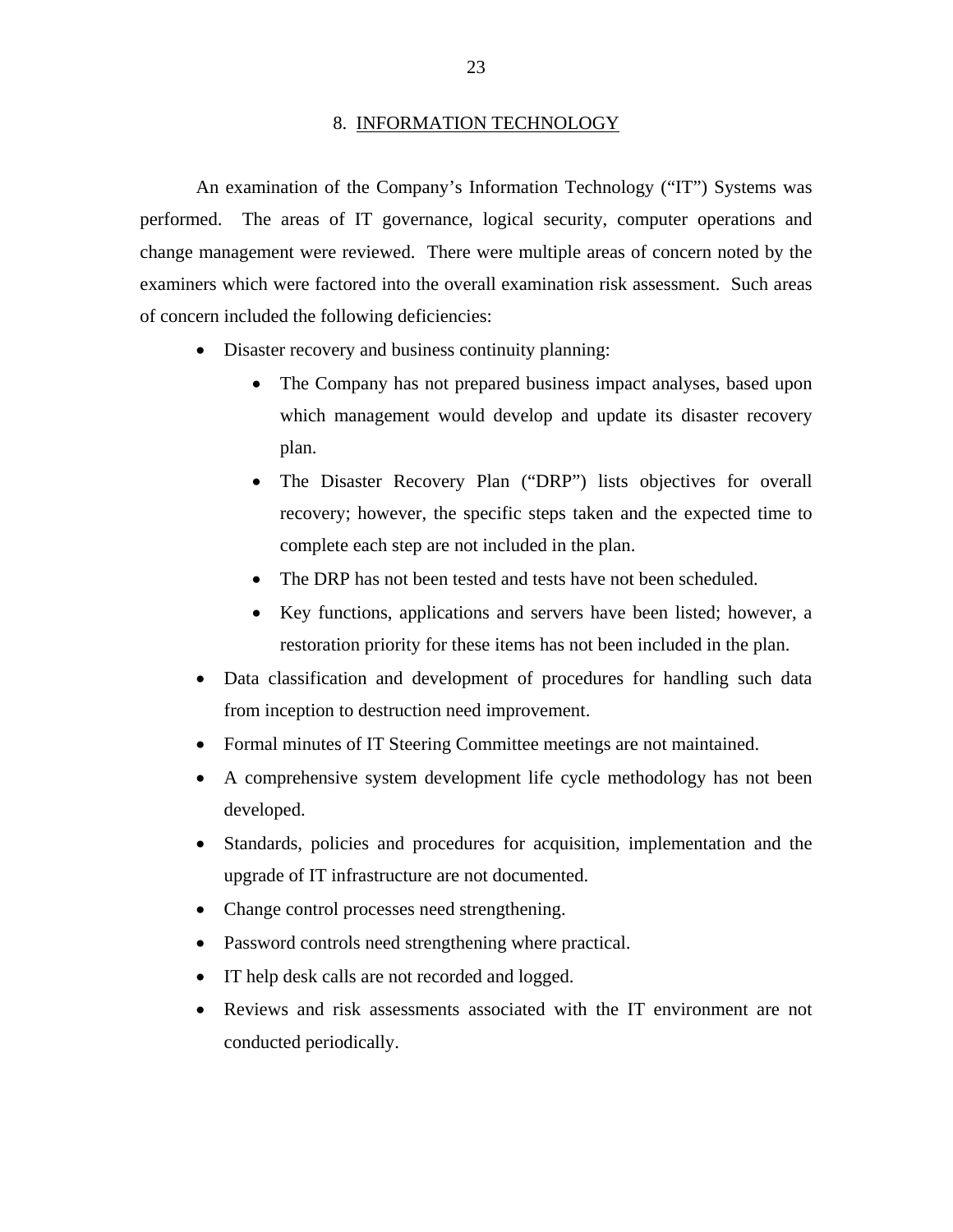#### 8. INFORMATION TECHNOLOGY

<span id="page-24-0"></span>An examination of the Company's Information Technology ("IT") Systems was performed. The areas of IT governance, logical security, computer operations and change management were reviewed. There were multiple areas of concern noted by the examiners which were factored into the overall examination risk assessment. Such areas of concern included the following deficiencies:

- Disaster recovery and business continuity planning:
	- The Company has not prepared business impact analyses, based upon which management would develop and update its disaster recovery plan.
	- The Disaster Recovery Plan ("DRP") lists objectives for overall recovery; however, the specific steps taken and the expected time to complete each step are not included in the plan.
	- The DRP has not been tested and tests have not been scheduled.
	- Key functions, applications and servers have been listed; however, a restoration priority for these items has not been included in the plan.
- Data classification and development of procedures for handling such data from inception to destruction need improvement.
- Formal minutes of IT Steering Committee meetings are not maintained.
- A comprehensive system development life cycle methodology has not been developed.
- Standards, policies and procedures for acquisition, implementation and the upgrade of IT infrastructure are not documented.
- Change control processes need strengthening.
- Password controls need strengthening where practical.
- IT help desk calls are not recorded and logged.
- Reviews and risk assessments associated with the IT environment are not conducted periodically.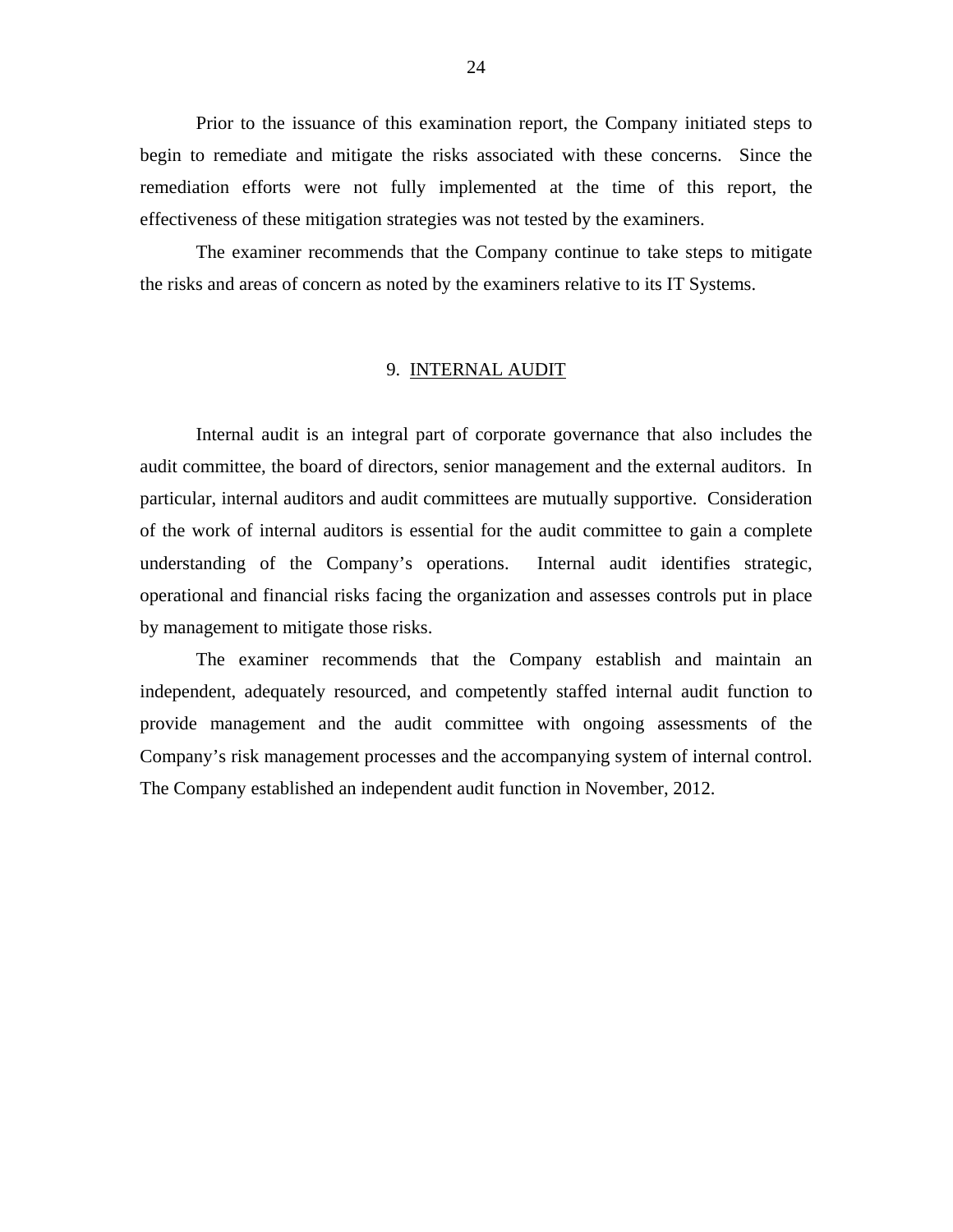<span id="page-25-0"></span>Prior to the issuance of this examination report, the Company initiated steps to begin to remediate and mitigate the risks associated with these concerns. Since the remediation efforts were not fully implemented at the time of this report, the effectiveness of these mitigation strategies was not tested by the examiners.

The examiner recommends that the Company continue to take steps to mitigate the risks and areas of concern as noted by the examiners relative to its IT Systems.

### 9. INTERNAL AUDIT

Internal audit is an integral part of corporate governance that also includes the audit committee, the board of directors, senior management and the external auditors. In particular, internal auditors and audit committees are mutually supportive. Consideration of the work of internal auditors is essential for the audit committee to gain a complete understanding of the Company's operations. Internal audit identifies strategic, operational and financial risks facing the organization and assesses controls put in place by management to mitigate those risks.

 Company's risk management processes and the accompanying system of internal control. The Company established an independent audit function in November, 2012. The examiner recommends that the Company establish and maintain an independent, adequately resourced, and competently staffed internal audit function to provide management and the audit committee with ongoing assessments of the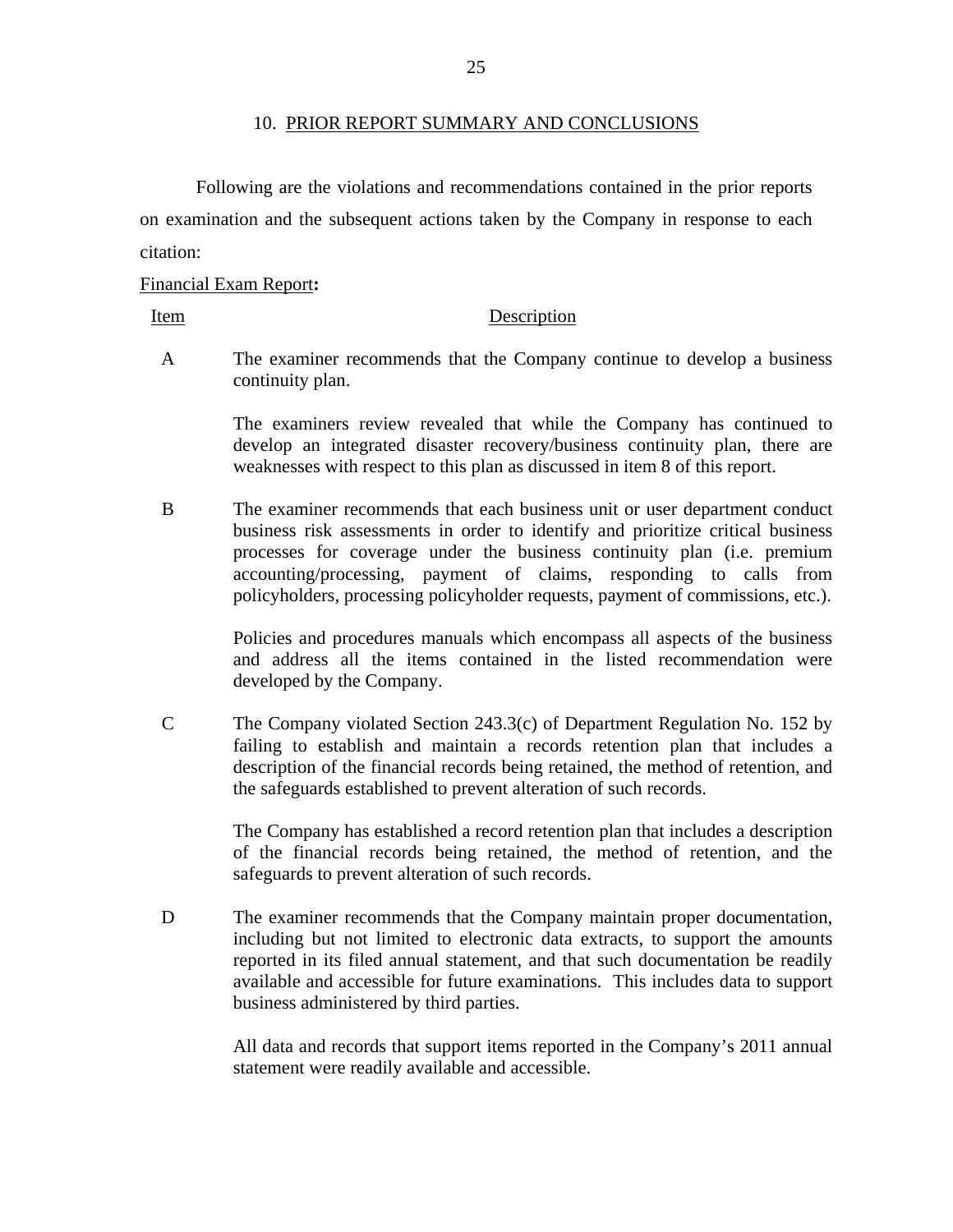#### 10. PRIOR REPORT SUMMARY AND CONCLUSIONS

Following are the violations and recommendations contained in the prior reports on examination and the subsequent actions taken by the Company in response to each citation:

### Financial Exam Report**:**

Item Description

A The examiner recommends that the Company continue to develop a business continuity plan.

> The examiners review revealed that while the Company has continued to develop an integrated disaster recovery/business continuity plan, there are weaknesses with respect to this plan as discussed in item 8 of this report.

B The examiner recommends that each business unit or user department conduct business risk assessments in order to identify and prioritize critical business processes for coverage under the business continuity plan (i.e. premium accounting/processing, payment of claims, responding to calls from policyholders, processing policyholder requests, payment of commissions, etc.).

> Policies and procedures manuals which encompass all aspects of the business and address all the items contained in the listed recommendation were developed by the Company.

C The Company violated Section 243.3(c) of Department Regulation No. 152 by failing to establish and maintain a records retention plan that includes a description of the financial records being retained, the method of retention, and the safeguards established to prevent alteration of such records.

> The Company has established a record retention plan that includes a description of the financial records being retained, the method of retention, and the safeguards to prevent alteration of such records.

D The examiner recommends that the Company maintain proper documentation, including but not limited to electronic data extracts, to support the amounts reported in its filed annual statement, and that such documentation be readily available and accessible for future examinations. This includes data to support business administered by third parties.

> All data and records that support items reported in the Company's 2011 annual statement were readily available and accessible.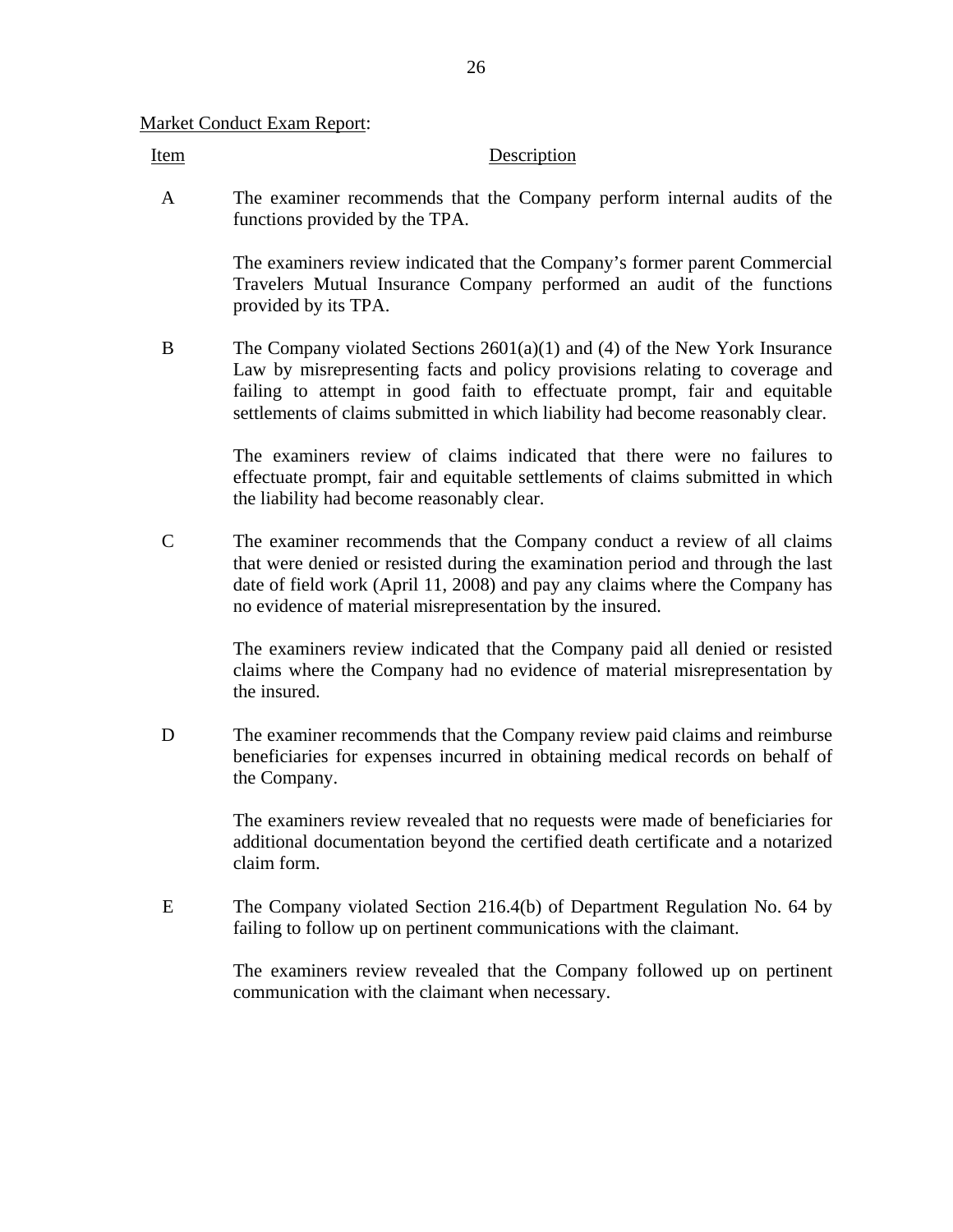### Market Conduct Exam Report:

### Item Description

A The examiner recommends that the Company perform internal audits of the functions provided by the TPA.

> The examiners review indicated that the Company's former parent Commercial Travelers Mutual Insurance Company performed an audit of the functions provided by its TPA.

B The Company violated Sections 2601(a)(1) and (4) of the New York Insurance Law by misrepresenting facts and policy provisions relating to coverage and failing to attempt in good faith to effectuate prompt, fair and equitable settlements of claims submitted in which liability had become reasonably clear.

> The examiners review of claims indicated that there were no failures to effectuate prompt, fair and equitable settlements of claims submitted in which the liability had become reasonably clear.

C The examiner recommends that the Company conduct a review of all claims that were denied or resisted during the examination period and through the last date of field work (April 11, 2008) and pay any claims where the Company has no evidence of material misrepresentation by the insured.

> The examiners review indicated that the Company paid all denied or resisted claims where the Company had no evidence of material misrepresentation by the insured.

D The examiner recommends that the Company review paid claims and reimburse beneficiaries for expenses incurred in obtaining medical records on behalf of the Company.

> The examiners review revealed that no requests were made of beneficiaries for additional documentation beyond the certified death certificate and a notarized claim form.

E The Company violated Section 216.4(b) of Department Regulation No. 64 by failing to follow up on pertinent communications with the claimant.

> The examiners review revealed that the Company followed up on pertinent communication with the claimant when necessary.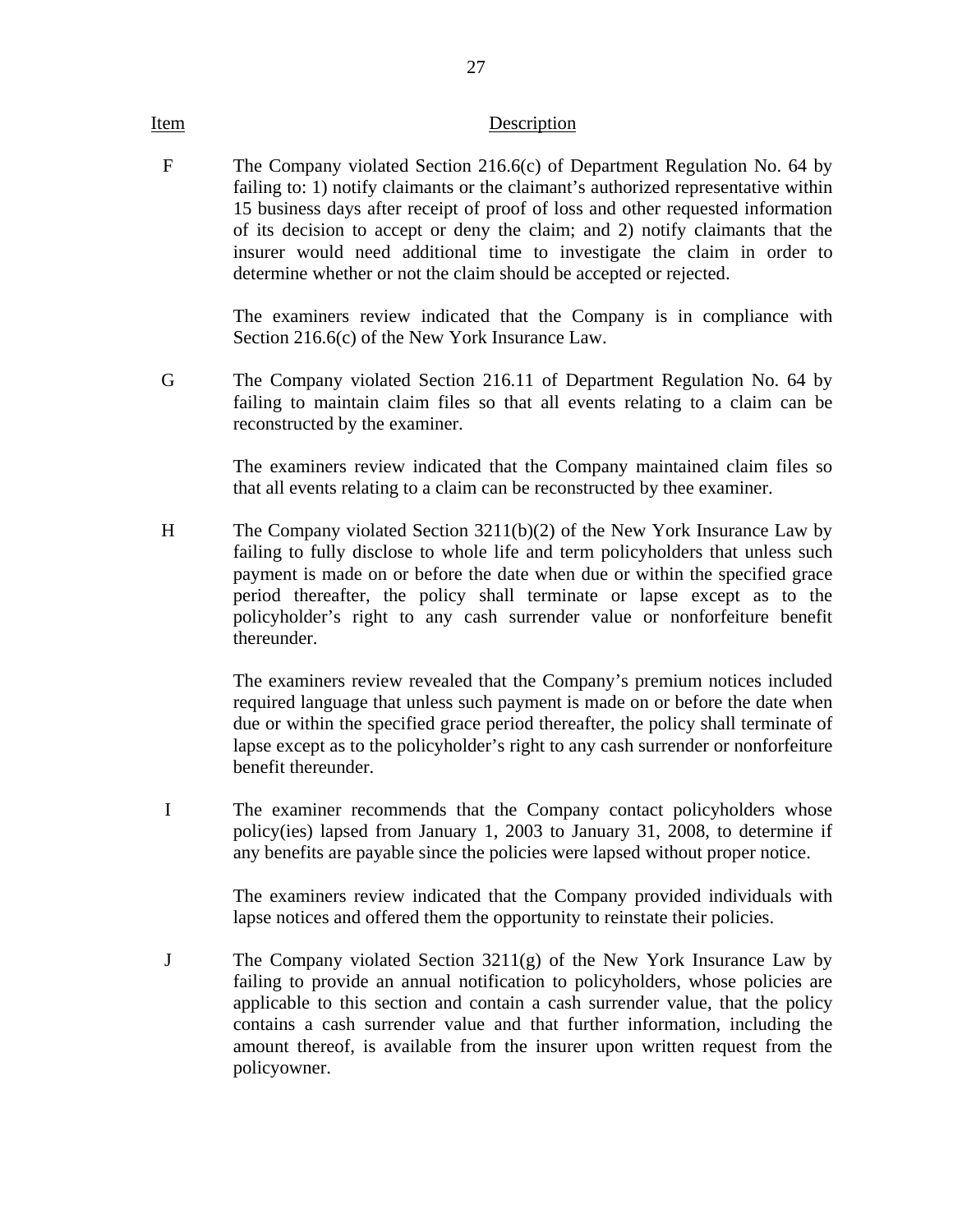### Item Description

F The Company violated Section 216.6(c) of Department Regulation No. 64 by failing to: 1) notify claimants or the claimant's authorized representative within 15 business days after receipt of proof of loss and other requested information of its decision to accept or deny the claim; and 2) notify claimants that the insurer would need additional time to investigate the claim in order to determine whether or not the claim should be accepted or rejected.

> The examiners review indicated that the Company is in compliance with Section 216.6(c) of the New York Insurance Law.

G The Company violated Section 216.11 of Department Regulation No. 64 by failing to maintain claim files so that all events relating to a claim can be reconstructed by the examiner.

> The examiners review indicated that the Company maintained claim files so that all events relating to a claim can be reconstructed by thee examiner.

H The Company violated Section 3211(b)(2) of the New York Insurance Law by failing to fully disclose to whole life and term policyholders that unless such payment is made on or before the date when due or within the specified grace period thereafter, the policy shall terminate or lapse except as to the policyholder's right to any cash surrender value or nonforfeiture benefit thereunder.

> The examiners review revealed that the Company's premium notices included required language that unless such payment is made on or before the date when due or within the specified grace period thereafter, the policy shall terminate of lapse except as to the policyholder's right to any cash surrender or nonforfeiture benefit thereunder.

I The examiner recommends that the Company contact policyholders whose policy(ies) lapsed from January 1, 2003 to January 31, 2008, to determine if any benefits are payable since the policies were lapsed without proper notice.

> The examiners review indicated that the Company provided individuals with lapse notices and offered them the opportunity to reinstate their policies.

J The Company violated Section 3211(g) of the New York Insurance Law by failing to provide an annual notification to policyholders, whose policies are applicable to this section and contain a cash surrender value, that the policy contains a cash surrender value and that further information, including the amount thereof, is available from the insurer upon written request from the policyowner.

27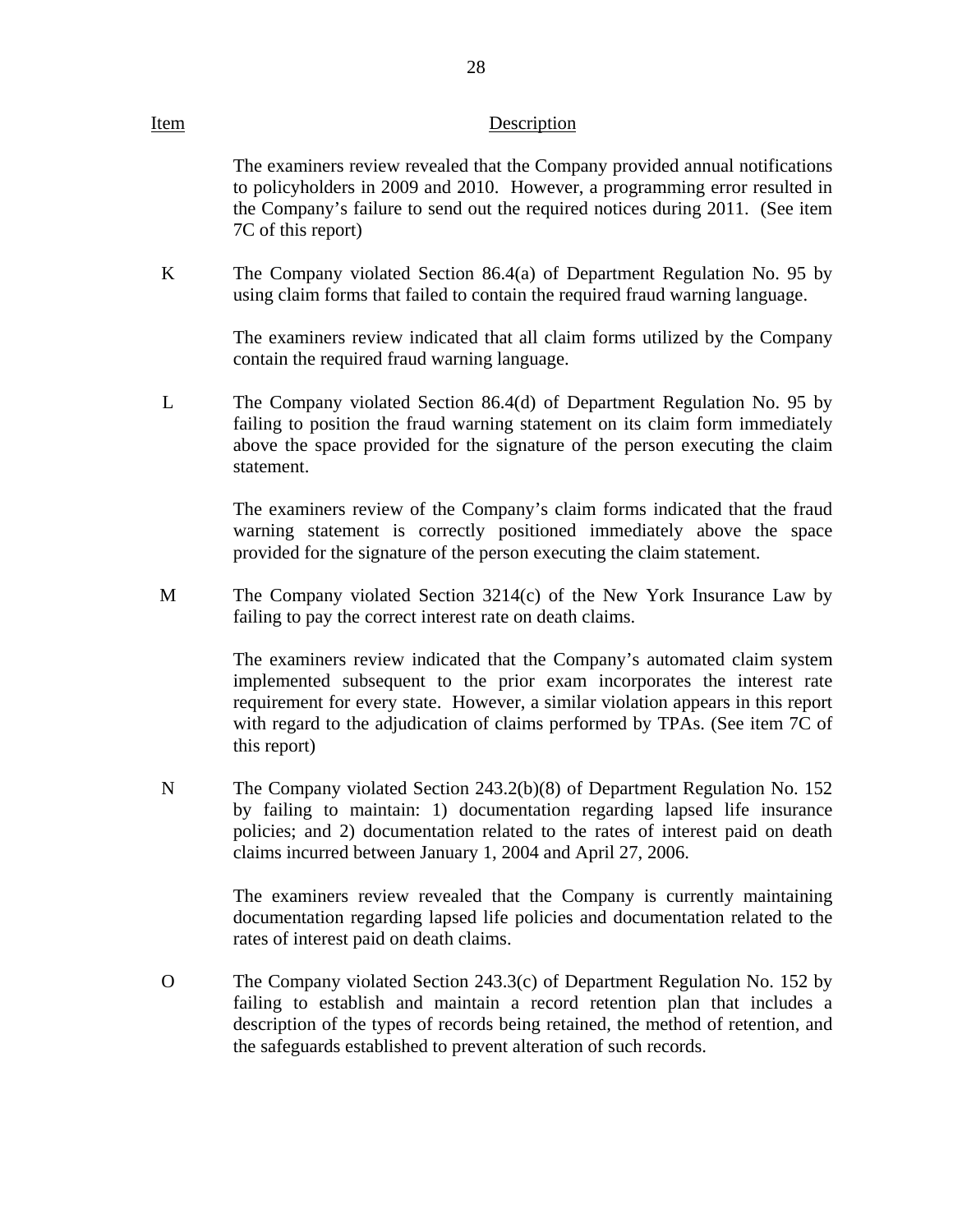### Item Description

The examiners review revealed that the Company provided annual notifications to policyholders in 2009 and 2010. However, a programming error resulted in the Company's failure to send out the required notices during 2011. (See item 7C of this report)

K The Company violated Section 86.4(a) of Department Regulation No. 95 by using claim forms that failed to contain the required fraud warning language.

> The examiners review indicated that all claim forms utilized by the Company contain the required fraud warning language.

 $\mathbf{L}$ The Company violated Section 86.4(d) of Department Regulation No. 95 by failing to position the fraud warning statement on its claim form immediately above the space provided for the signature of the person executing the claim statement.

> The examiners review of the Company's claim forms indicated that the fraud warning statement is correctly positioned immediately above the space provided for the signature of the person executing the claim statement.

M The Company violated Section 3214(c) of the New York Insurance Law by failing to pay the correct interest rate on death claims.

> The examiners review indicated that the Company's automated claim system implemented subsequent to the prior exam incorporates the interest rate requirement for every state. However, a similar violation appears in this report with regard to the adjudication of claims performed by TPAs. (See item 7C of this report)

N The Company violated Section 243.2(b)(8) of Department Regulation No. 152 by failing to maintain: 1) documentation regarding lapsed life insurance policies; and 2) documentation related to the rates of interest paid on death claims incurred between January 1, 2004 and April 27, 2006.

> The examiners review revealed that the Company is currently maintaining documentation regarding lapsed life policies and documentation related to the rates of interest paid on death claims.

O The Company violated Section 243.3(c) of Department Regulation No. 152 by failing to establish and maintain a record retention plan that includes a description of the types of records being retained, the method of retention, and the safeguards established to prevent alteration of such records.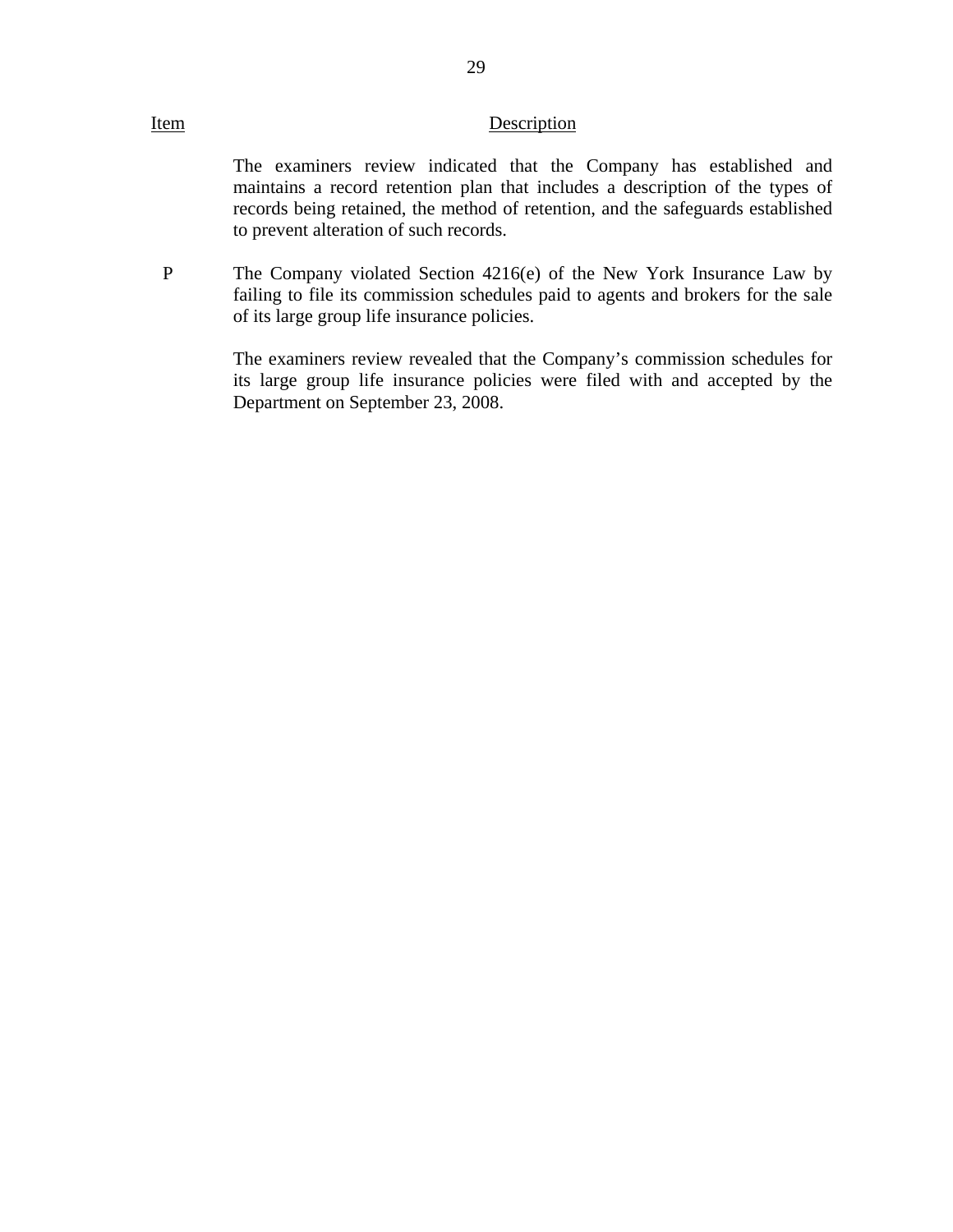### Item Description

The examiners review indicated that the Company has established and maintains a record retention plan that includes a description of the types of records being retained, the method of retention, and the safeguards established to prevent alteration of such records.

P The Company violated Section 4216(e) of the New York Insurance Law by failing to file its commission schedules paid to agents and brokers for the sale of its large group life insurance policies.

> The examiners review revealed that the Company's commission schedules for its large group life insurance policies were filed with and accepted by the Department on September 23, 2008.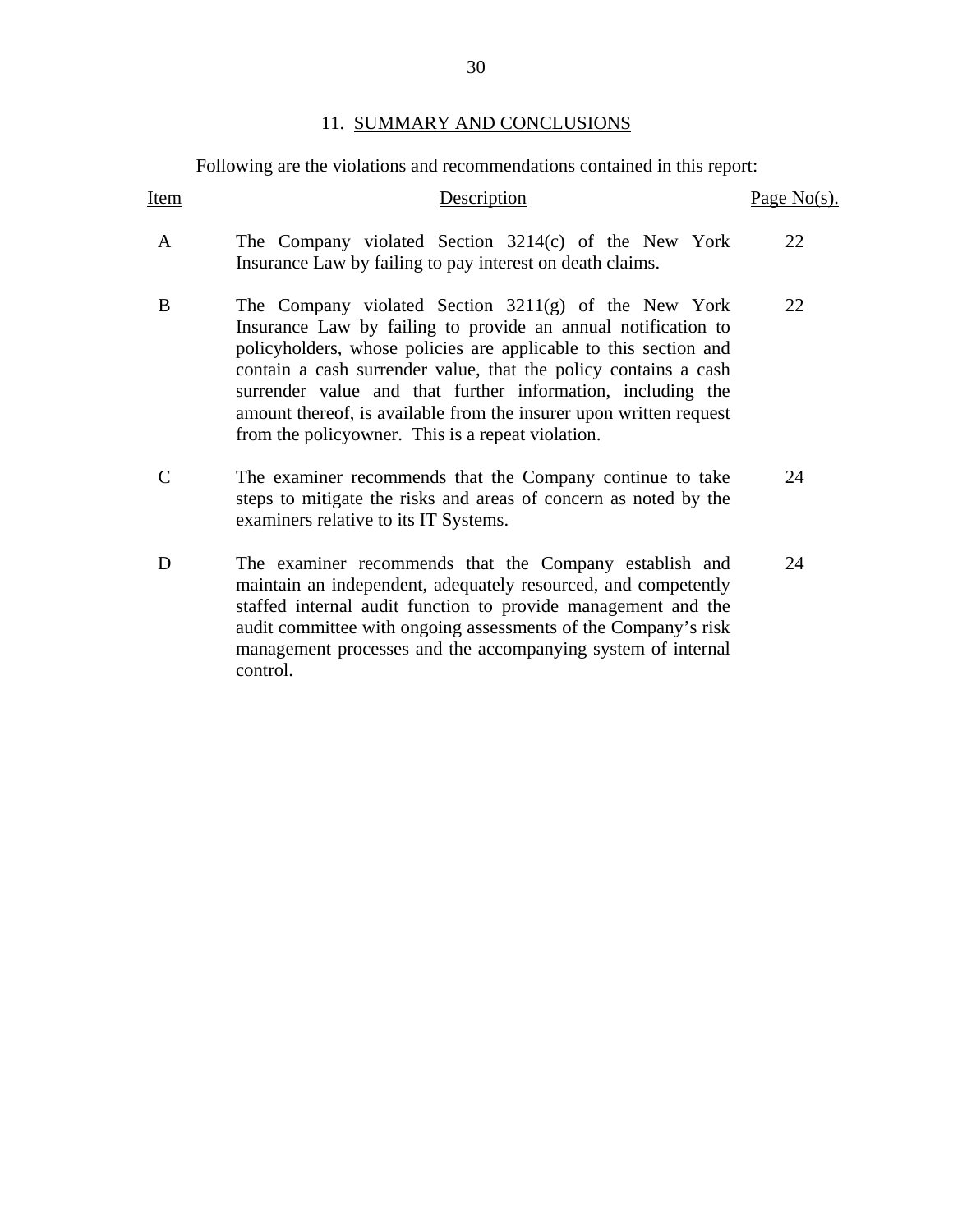Following are the violations and recommendations contained in this report:

<span id="page-31-0"></span>

| Item | Description                                                                                                                                                                                                                                                                                                                                                                                                                                              | Page $No(s)$ . |
|------|----------------------------------------------------------------------------------------------------------------------------------------------------------------------------------------------------------------------------------------------------------------------------------------------------------------------------------------------------------------------------------------------------------------------------------------------------------|----------------|
| A    | The Company violated Section 3214(c) of the New York<br>Insurance Law by failing to pay interest on death claims.                                                                                                                                                                                                                                                                                                                                        | 22             |
| B    | The Company violated Section $3211(g)$ of the New York<br>Insurance Law by failing to provide an annual notification to<br>policyholders, whose policies are applicable to this section and<br>contain a cash surrender value, that the policy contains a cash<br>surrender value and that further information, including the<br>amount thereof, is available from the insurer upon written request<br>from the policyowner. This is a repeat violation. | 22             |
|      | The examiner recommends that the Company continue to take<br>steps to mitigate the risks and areas of concern as noted by the<br>examiners relative to its IT Systems.                                                                                                                                                                                                                                                                                   | 24             |
| D    | The examiner recommends that the Company establish and<br>maintain an independent, adequately resourced, and competently<br>staffed internal audit function to provide management and the<br>audit committee with ongoing assessments of the Company's risk<br>management processes and the accompanying system of internal<br>control.                                                                                                                  | 24             |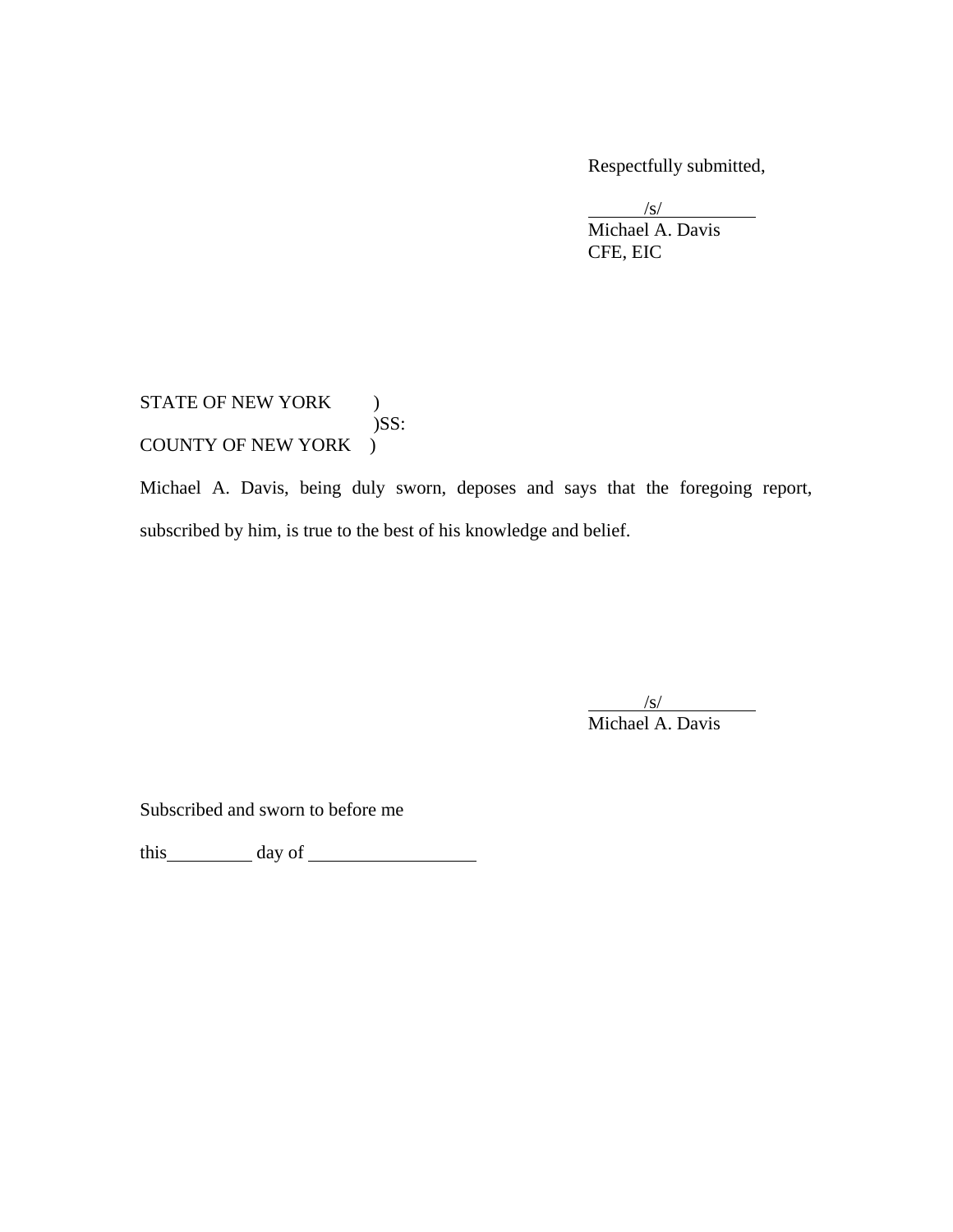Respectfully submitted,

 $\overline{a}$  $\sqrt{s}$ /s/

 Michael A. Davis CFE, EIC

STATE OF NEW YORK )  $)$ SS: COUNTY OF NEW YORK )

Michael A. Davis, being duly sworn, deposes and says that the foregoing report, subscribed by him, is true to the best of his knowledge and belief.

 $\overline{\phantom{a}}$  $\sqrt{s}$ Michael A. Davis

Subscribed and sworn to before me

this day of